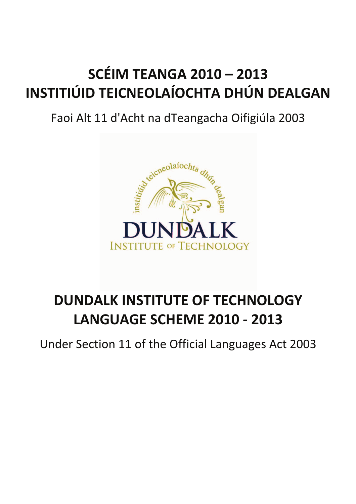### **SCÉIM TEANGA 2010 – 2013 INSTITIÚID TEICNEOLAÍOCHTA DHÚN DEALGAN**

### Faoi Alt 11 d'Acht na dTeangacha Oifigiúla 2003



### **DUNDALK INSTITUTE OF TECHNOLOGY LANGUAGE SCHEME 2010 - 2013**

Under Section 11 of the Official Languages Act 2003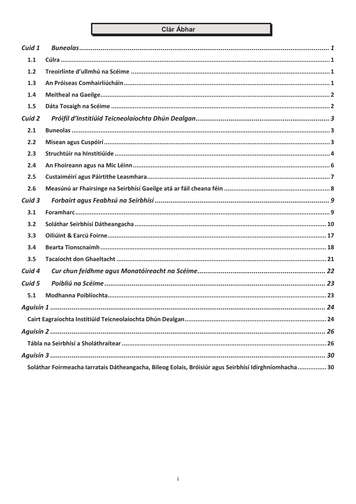#### Clár Ábhar

| Cuid 1 |                                                                                                        |
|--------|--------------------------------------------------------------------------------------------------------|
| 1.1    |                                                                                                        |
| 1.2    |                                                                                                        |
| 1.3    |                                                                                                        |
| 1.4    |                                                                                                        |
| 1.5    |                                                                                                        |
| Cuid 2 |                                                                                                        |
| 2.1    |                                                                                                        |
| 2.2    |                                                                                                        |
| 2.3    |                                                                                                        |
| 2.4    |                                                                                                        |
| 2.5    |                                                                                                        |
| 2.6    |                                                                                                        |
| Cuid 3 |                                                                                                        |
| 3.1    |                                                                                                        |
| 3.2    |                                                                                                        |
| 3.3    |                                                                                                        |
| 3.4    |                                                                                                        |
| 3.5    |                                                                                                        |
| Cuid 4 |                                                                                                        |
| Cuid 5 |                                                                                                        |
| 5.1    |                                                                                                        |
|        |                                                                                                        |
|        |                                                                                                        |
|        |                                                                                                        |
|        |                                                                                                        |
|        |                                                                                                        |
|        | Soláthar Foirmeacha Iarratais Dátheangacha, Bileog Eolais, Bróisiúr agus Seirbhísí Idirghníomhacha  30 |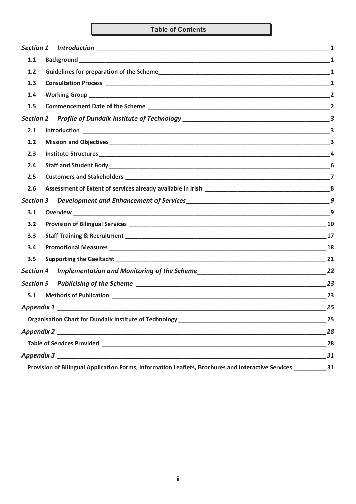#### **Table of Contents**

| Section 1                                                                                                   |    |
|-------------------------------------------------------------------------------------------------------------|----|
| 1.1                                                                                                         |    |
| 1.2                                                                                                         |    |
| 1.3                                                                                                         |    |
| 1.4                                                                                                         |    |
| 1.5                                                                                                         |    |
| <b>Section 2</b>                                                                                            |    |
| 2.1                                                                                                         |    |
| 2.2                                                                                                         |    |
| 2.3                                                                                                         |    |
| 2.4                                                                                                         |    |
| 2.5                                                                                                         |    |
| 2.6                                                                                                         |    |
| <b>Section 3</b>                                                                                            | 9  |
| 3.1                                                                                                         |    |
| 3.2                                                                                                         |    |
| 3.3                                                                                                         | 17 |
| 3.4                                                                                                         |    |
| 3.5                                                                                                         |    |
| <b>Section 4</b>                                                                                            | 22 |
| <b>Section 5</b>                                                                                            |    |
| 5.1                                                                                                         | 23 |
| <b>Appendix 1</b>                                                                                           | 25 |
|                                                                                                             |    |
|                                                                                                             | 28 |
|                                                                                                             | 28 |
|                                                                                                             | 31 |
| Provision of Bilingual Application Forms, Information Leaflets, Brochures and Interactive Services ________ | 31 |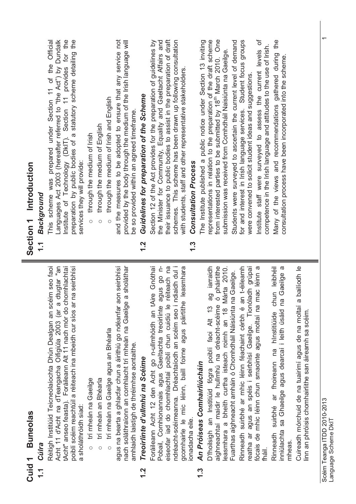|             | Cuid 1 Buneolas                                                                                                                                                                                                                                                                                                                                | Section 1 Introduction                                                                                                                                                                                                                                                                                                                         |
|-------------|------------------------------------------------------------------------------------------------------------------------------------------------------------------------------------------------------------------------------------------------------------------------------------------------------------------------------------------------|------------------------------------------------------------------------------------------------------------------------------------------------------------------------------------------------------------------------------------------------------------------------------------------------------------------------------------------------|
| $\tilde{L}$ | Cúlra                                                                                                                                                                                                                                                                                                                                          | Background<br>$\tilde{\mathcal{L}}$                                                                                                                                                                                                                                                                                                            |
|             | Réitigh Institiúid Teicneolaíochta Dhún Dealgan an scéim seo faoi<br>Acht 11 d'Acht na dTeangacha Oifigiúla 2003 (ar a dtugtar "an<br>chomhlachtaí<br>poiblí scéim reachtúil a réiteach ina mbeidh cur síos ar na seirbhísí<br>tAcht" anseo feasta). Foráileann Alt 11 nach mór do<br>a sholáthróidh siad:                                     | preparation by public bodies of a statutory scheme detailing the<br>Institute of Technology (DkIT). Section 11 provides for the<br>This scheme was prepared under Section 11 of the Official<br>Languages Act 2003 (hereafter referred to "the Act") by Dundalk<br>services they will provide:                                                 |
|             | trí mheán na Gaeilge<br>$\circ$                                                                                                                                                                                                                                                                                                                | through the medium of Irish                                                                                                                                                                                                                                                                                                                    |
|             | trí mheán an Bhéarla<br>$\circ$                                                                                                                                                                                                                                                                                                                | through the medium of English<br>$\circ$                                                                                                                                                                                                                                                                                                       |
|             | aon seirbhísí<br>e a sholáthar<br>agus na bearta a ghlacfar chun a áirithiú go ndéanfar<br>nach soláthraíonn an comhlacht trí mheán na Gaeilg<br>trí mheán na Gaeilge agus an Bhéarla<br>amhlaidh laistigh de thréimhse aontaithe.<br>$\circ$                                                                                                  | and the measures to be adopted to ensure that any service not<br>provided by the body through the medium of the Irish language will<br>through the medium of Irish and English<br>be so provided within an agreed timeframe.<br>$\circ$                                                                                                        |
| 1.2         | Treoirlínte d'ullmhú na Scéime                                                                                                                                                                                                                                                                                                                 | Guidelines for preparation of the Scheme<br>$\frac{2}{1}$                                                                                                                                                                                                                                                                                      |
|             | Foráileann Acht 12 den Acht go n-ullmhóidh an tAire Gnóthaí<br>ndiaidh dul i<br>-u ob snbe<br>réiteach na<br>e leasmhara<br>Pobail, Comhionannais agus Gaeltachta treoirlínte<br>eiseofar iad do chomhlachtaí poiblí chun cuidiú le<br>ndréacht-scéimeanna. Dréachtaíodh an scéim seo i<br>gcomhairle le mic léinn, baill foirne agus páirtith | schemes. This scheme has been drawn up following consultation<br>their issuance to public bodies to assist in the preparation of draft<br>Section 12 of the Act provides for the preparation of guidelines by<br>the Minister for Community, Equality and Gaeltacht Affairs and<br>with students, staff and other representative stakeholders. |
|             | ionadacha eile.                                                                                                                                                                                                                                                                                                                                | <b>Consultation Process</b><br>$\frac{3}{2}$                                                                                                                                                                                                                                                                                                   |
| <u>1.3</u>  | ag iarraidh<br>ó pháirtithe<br>D'fhoilsigh an Institiúid fógra poiblí faoi Alt 13<br>aighneachtaí maidir le hullmhú na dréacht-scéime<br>An Próiseas Comhairliúcháin                                                                                                                                                                           | from interested parties to be submitted by 18 <sup>th</sup> March 2010. One<br>representations in relation to the preparation of the draft scheme<br>The Institute published a public notice under Section 13 inviting                                                                                                                         |
|             | Márta 2010.<br>na Gaeilge.<br>Fuarthas aighneacht amháin ó Chomhdháil Náisiúnta<br>leasmhara a bheith curtha isteach roimh an 18                                                                                                                                                                                                               | Students were surveyed to ascertain the current level of demand<br>submission was received from Comhdháil Naisiúnta na Gaeilge.                                                                                                                                                                                                                |
|             | an t-éileamh<br>reatha ar agus an spéis i seirbhísí Gaeilge. Tionóladh grúpaí<br>Rinneadh suirbhé ar mhic léinn féachaint cérbh é                                                                                                                                                                                                              | for and interest in Irish language services. Student focus groups<br>were convened to solicit student ideas and suggestions                                                                                                                                                                                                                    |
|             | mac léinn a<br>fócais de mhic léinn chun smaointe agus moltaí na<br>fháil.                                                                                                                                                                                                                                                                     | ð<br>competence in the Irish language and attitudes to the use of Irish.<br>Institute staff were surveyed to assess the current levels                                                                                                                                                                                                         |
|             | chun leibhéil<br>$\sigma$<br>na Gaeilge<br>inniúlachta sa Ghaeilge agus dearcaí i leith úsáid<br>Rinneadh suirbhé ar fhoireann na hInstitiúide<br>mheas                                                                                                                                                                                        | Many of the views and recommendations gathered during the<br>consultation process have been incorporated into the scheme.                                                                                                                                                                                                                      |
|             | a bailíodh le<br>Cuireadh mórchuid de na tuairimí agus de na moltaí<br>linn an phróisis chomhairlithe san áireamh sa scéim.                                                                                                                                                                                                                    |                                                                                                                                                                                                                                                                                                                                                |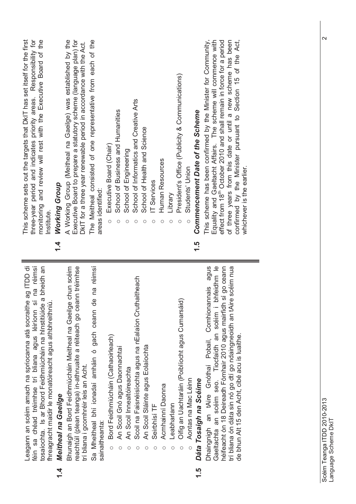| three-year period and indicates priority areas. Responsibility for<br>monitoring and review will rest with the Executive Board of the<br>This scheme sets out the targets that DkIT has set itself for the first<br><b>Working Group</b><br>Institute.                                                        | Executive Board to prepare a statutory scheme (language plan) for<br>The Meitheal consisted of one representative from each of the<br>A Working Group (Meitheal na Gaeilge) was established by the<br>DkIT for a three year renewable period in accordance with the Act.<br>areas identified: | This scheme has been confirmed by the Minister for Community,<br>of three years from this date or until a new scheme has been<br>Equality and Gaeltacht Affairs. The scheme will commence with<br>effect from 18 <sup>th</sup> October 2010 and shall remain in force for a period<br>confirmed by the Minister pursuant to Section 15 of the Act,<br>President's Office (Publicity & Communications)<br>School of Informatics and Creative Arts<br>School of Business and Humanities<br><b>Commencement Date of the Scheme</b><br>School of Health and Science<br>Executive Board (Chair)<br>School of Engineering<br>Human Resources<br>whichever is the earlier.<br>Students' Union<br>IT Services<br>Library<br>C<br>$\circ$ |  |
|---------------------------------------------------------------------------------------------------------------------------------------------------------------------------------------------------------------------------------------------------------------------------------------------------------------|-----------------------------------------------------------------------------------------------------------------------------------------------------------------------------------------------------------------------------------------------------------------------------------------------|----------------------------------------------------------------------------------------------------------------------------------------------------------------------------------------------------------------------------------------------------------------------------------------------------------------------------------------------------------------------------------------------------------------------------------------------------------------------------------------------------------------------------------------------------------------------------------------------------------------------------------------------------------------------------------------------------------------------------------|--|
| $\frac{4}{4}$                                                                                                                                                                                                                                                                                                 |                                                                                                                                                                                                                                                                                               | 1.5                                                                                                                                                                                                                                                                                                                                                                                                                                                                                                                                                                                                                                                                                                                              |  |
| Leagann an scéim amach na spriocanna atá socraithe ag ITDD di<br>féin sa chéad tréimhse trí bliana agus léiríonn sí na réimsí<br>tosaíochta. Is ar Bhord Feidhmiúcháin na hInstitiúide a bheidh an<br>fhreagracht maidir le monatóireacht agus athbhreithniú.<br>Meitheal na Gaeilge<br>féin<br>$\frac{1}{4}$ | Sa Mheitheal bhí ionadaí amháin ó gach ceann de na réimsí<br>Bhunaigh an Bord Feidhmiúcháin Meitheal na Gaeilge chun scéim<br>reachtúil (plean teanga) in-athnuaite a réiteach go ceann tréimhse<br>trí bliana i gcomhréir leis an Acht.<br>sainaitheanta:                                    | agus<br>bhfeidhm le<br>héifeacht ón 18 Deireadh Fómhair 2010 agus mairfidh sí go ceann<br>trí bliana ón dáta sin nó go dtí go ndaingneoidh an tAire scéim nua<br>Scoil na Faisnéisíochta agus na nEalaíon Cruthaitheach<br>Dhaingnigh an tAire Gnóthaí Pobail, Comhionannais<br>Oifig an Uachtaráin (Poiblíocht agus Cumarsáid)<br>Gaeltachta an scéim seo. Tiocfaidh an scéim i<br>de bhun Alt 15 den Acht, cibé acu is luaithe.<br>Bord Feidhmiúcháin (Cathaoirleach)<br>An Scoil Sláinte agus Eolaíochta<br>An Scoil Gnó agus Daonnachtaí<br>An Scoil Innealtóireachta<br>Aontas na Mac Léinn<br>Dáta Tosaigh na Scéime<br>Acmhainní Daonna<br>Leabharlann<br>Seirbhísí TF<br>$\circ$<br>$\circ$<br>O<br>1.5                  |  |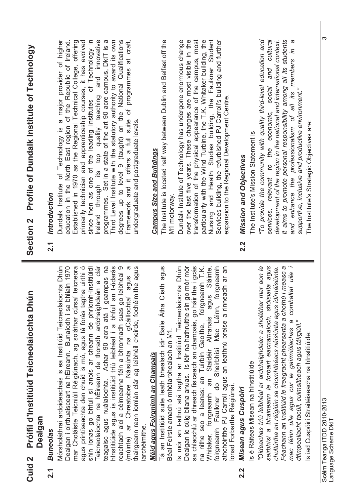| Profile of Dundalk Institute of Technology<br>Section <sub>2</sub>             | Ireland through its top quality teaching and innovative<br>Dundalk Institute of Technology is a major provider of higher<br>primarily technician and apprenticeship courses, it has evolved<br>since then as one of the leading Institutes of Technology in<br>programmes. Set in a state of the art 90 acre campus, DkIT is a<br>Third Level Institute with the statutory authority to award its own<br>degrees up to level 9 (taught) on the National Qualifications<br>Framework and it offers a full suite of programmes at craft,<br>The Institute is located half way between Dublin and Belfast off the<br>education in the North East region of the Republic of Ireland.<br>Established in 1970 as the Regional Technical College, offering<br>of programmes<br>undergraduate and postgraduate levels<br><b>Campus Size and Buildings</b><br>Introduction<br>2.1                                                        | It aims to promote personal responsibility among all its students<br>Dundalk Institute of Technology has undergone enormous change<br>over the last five years. These changes are most visible in the<br>transformation of the physical appearance of the campus, most<br>particularly with the Wind Turbine, the T.K. Whitaker building, the<br>Nursing and Health Studies building, the Faulkner Student<br>"To provide the community with quality third-level education and<br>and cultural<br>$\omega$<br>Services building, the refurbished PJ Carroll's building and further<br>development of the region in the national and international context.<br>professionalism of all its members in<br>services, relevant to the economic, social<br>supportive, inclusive and productive environment."<br>expansion to the Regional Development Centre<br>The Institute's Strategic Objectives are:<br>The Institute's Mission Statement is<br><b>Mission and Objectives</b><br>and enhance the<br>M1 motorway.<br>2.2                                                                                     |
|--------------------------------------------------------------------------------|---------------------------------------------------------------------------------------------------------------------------------------------------------------------------------------------------------------------------------------------------------------------------------------------------------------------------------------------------------------------------------------------------------------------------------------------------------------------------------------------------------------------------------------------------------------------------------------------------------------------------------------------------------------------------------------------------------------------------------------------------------------------------------------------------------------------------------------------------------------------------------------------------------------------------------|-------------------------------------------------------------------------------------------------------------------------------------------------------------------------------------------------------------------------------------------------------------------------------------------------------------------------------------------------------------------------------------------------------------------------------------------------------------------------------------------------------------------------------------------------------------------------------------------------------------------------------------------------------------------------------------------------------------------------------------------------------------------------------------------------------------------------------------------------------------------------------------------------------------------------------------------------------------------------------------------------------------------------------------------------------------------------------------------------------------|
| iún<br>Próifíl d'Institiúid Teicneolaíochta Dh<br>Dealgan<br>Cuid <sub>2</sub> | shin ionas go bhfuil sí anois ar cheann de phríomh-Institiúidí<br>Teicneolaíochta na hÉireann de thoradh ardchaighdeán a clár<br>hInstitiúide agus is institiúid tríú leibhéal í a bhfuil an t-údarás<br>reachtach aici a céimeanna féin a bhronnadh suas go leibhéal 9<br>thairgeann raon iomlán clár ag leibhéil cheirde, fochéimithe agus<br>Mórsholáthraí ardoideachais is ea Institiúid Teicneolaíochta Dhún<br>bhliain 1970<br>mar Choláiste Teicniúil Réigiúnach, ag soláthar cúrsaí teicneora<br>agus printíseachta den chuid is mó, agus tá forás tagtha uirthi ó<br>gcampas na<br>$\sigma$<br>agus<br>(múinte) ar Chreatoibre Náisiúnta na gCáilíochtaí agus<br>Cliath<br>Tá an Institiúid suite leath bhealach idir Baile Átha<br>Dealgan i oirthuaisceart na hÉireann. Bunaíodh í sa<br>teagaisc agus nuálaíochta. Achar 90 acra atá i<br>Méid agus Foirgnimh an Champais<br>iarchéimithe<br><b>Buneolas</b><br>2.1 | comhaltaí uile i<br>go mór mór<br>sa chlaochlú ar dhreach fisiceach an champais, go háirithe i gcás<br>"Oideachas tríú leibhéal ar ardchaighdeán a sholáthar mar aon le<br>seirbhísí a bhaineann le forbairt eacnamaíoch, shóisialta agus<br>Féachann an Institiúid le freagracht phearsanta a chothú i measc a<br>Is mór an t-athrú atá tagtha ar Institiúid Teicneolaíochta Dhún<br>Faulkner do Sheirbhísí Mac Léinn, foirgneamh<br>athchóirithe PJ Carroll agus an leathnú breise a rinneadh ar an<br>foirgneamh T.K.<br>Altranais agus Sláinte,<br>idirnáisiúnta.<br>Dealgan le cúig bliana anuas. Is léir na hathruithe sin<br>chultúrtha an réigiúin sa chomhthéacs náisiúnta agus<br>dtimpeallacht tacúil, cuimsitheach agus táirgiúil."<br>mac léinn uile agus cur le gairmiúlachas a<br>na nithe seo a leanas: an Tuirbín Gaoithe,<br>Béal Feirste amach ó mhótarbhealach an M1.<br>Is iad Cuspóirí Straitéiseacha na hInstitiúide:<br>Staidéir<br>s é Ráiteas Misean na hInstitiúide<br>ິ<br>ສ<br>Ionad Forbartha Réigiúnaí.<br>Misean agus Cuspóirí<br>Whitaker, foirgneamh<br>foirgneamh<br>2.2 |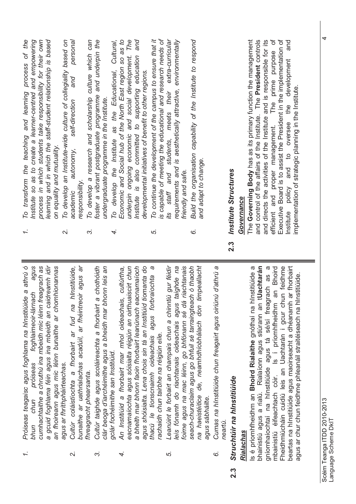$2.3$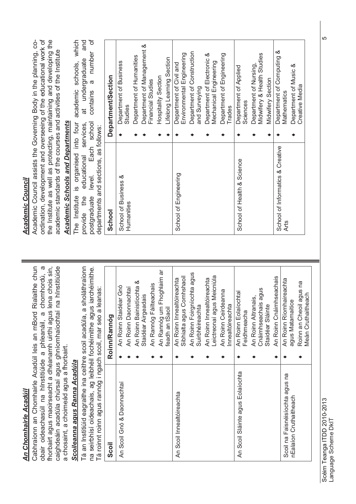### **An Chomhairle Acadúil** *An Chomhairle Acadúil*

obair oideachasúil na hInstitiúide a phleanáil, a chomhordú, a obair oideachasúil na hInstitiúide a phleanáil, a chomhordú, a fhorbairt agus maoirseacht a dhéanamh uirthi agus lena chois sin, caighdeáin acadúla chúrsaí agus ghníomhaíochtaí na hInstitiúide Cabhraíonn an Chomhairle Acadúil leis an mBord Rialaithe chun caighdeáin acadúla chúrsaí agus ghníomhaíochtaí na hInstitiúide Cabhraíonn an Chomhairle Acadúil leis an mBord Rialaithe chun fhorbairt agus maoirseacht a dhéanamh uirthi agus lena chois sin, a chosaint, a choimeád agus a fhorbairt. a chosaint, a choimeád agus a fhorbairt.

## Scoileanna agus Ranna Acadúla *Scoileanna agus Ranna Acadúla*

Tá an Institiúid eagraithe ina ceithre scoil acadúla, a sholáthraíonn Tá an Institiúid eagraithe ina ceithre scoil acadúla, a sholáthraíonn na seirbhísí oideachais, ag leibhéil fochéimithe agus iarchéimithe. na seirbhísí oideachais, ag leibhéil fochéimithe agus iarchéimithe.

| Tá roinnt roinn agus rannóg i ngach scoil, mar seo a leanas: |                                                         |
|--------------------------------------------------------------|---------------------------------------------------------|
| Scoil                                                        | Roinn/Rannóg                                            |
| An Scoil Gnó & Daonnachtaí                                   | An Roinn Staidéar Gnó                                   |
|                                                              | An Roinn Daonnachtai                                    |
|                                                              | An Roinn Bainistíochta &<br>Staidéar Airgeadais         |
|                                                              | An Rannóg Fáilteachais                                  |
|                                                              | An Rannóg um Fhoghlaim ar<br>feadh an tSaoil            |
| An Scoil Innealtóireachta                                    | Sibhialta agus Comhshaoil<br>An Roinn Innealtóireachta  |
|                                                              | An Roinn Foirgníochta agus<br>Suirbhéireachta           |
|                                                              | Leictreonaí agus Meicniúla<br>An Roinn Innealtóireachta |
|                                                              |                                                         |
|                                                              | An Roinn Ceirdeanna<br>Innealtóireachta                 |
| An Scoil Sláinte agus Eolaíochta                             | An Roinn Eolaíochtaí<br>Feidhmeacha                     |
|                                                              | An Roinn Altranais,                                     |
|                                                              | Cnáimhseachais agus                                     |
|                                                              | An Roinn Cnáimhseachais<br>Staidéar Sláinte             |
|                                                              |                                                         |
| Scoil na Faisnéisíochta agus na<br>nEalaíon Cruthaitheach    | An Roinn Ríomhaireachta<br>agus Matamaitice             |
|                                                              | Roinn an Cheoil agus na<br>Meán Cruthaitheach           |
|                                                              |                                                         |

### **Academic Council** *Academic Council*

ordination, development and overseeing of the educational work of the Institute as well as protecting, maintaining and developing the Academic Council assists the Governing Body in the planning, co-Academic Council assists the Governing Body in the planning, coordination, development and overseeing of the educational work of the Institute as well as protecting, maintaining and developing the academic standards of the courses and activities of the Institute academic standards of the courses and activities of the Institute

# **Academic Schools and Departments** *Academic Schools and Departments*

and contains a number of The Institute is organised into four academic schools, which postgraduate level. Each school contains a number of The Institute is organised into four academic schools, which provide the educational services, at undergraduate and at undergraduate postgraduate level. Each school educational services, departments and sections as follows: departments and sections, as follows: provide the

| - לאמר המוני המוני המוני המוני המוני המוני המוני המוני המוני המוני המוני המוני המוני המוני המוני המוני המוני ה<br>במוני המוני המוני המוני המוני המוני המוני המוני המוני המוני המוני המוני המוני המוני המוני המוני המוני המוני המ |                                                      |
|----------------------------------------------------------------------------------------------------------------------------------------------------------------------------------------------------------------------------------|------------------------------------------------------|
| School                                                                                                                                                                                                                           | Department/Section                                   |
| School of Business &<br>Humanities                                                                                                                                                                                               | Department of Business<br>Studies                    |
|                                                                                                                                                                                                                                  | Department of Humanities                             |
|                                                                                                                                                                                                                                  | Department of Management &<br>Financial Studies      |
|                                                                                                                                                                                                                                  | Hospitality Section                                  |
|                                                                                                                                                                                                                                  | Lifelong Learning Section                            |
| School of Engineering                                                                                                                                                                                                            | Environmental Engineering<br>Department of Civil and |
|                                                                                                                                                                                                                                  | Department of Construction                           |
|                                                                                                                                                                                                                                  | and Surveying                                        |
|                                                                                                                                                                                                                                  | Department of Electronic &<br>Mechanical Engineering |
|                                                                                                                                                                                                                                  |                                                      |
|                                                                                                                                                                                                                                  | Department of Engineering<br><b>Trades</b>           |
| School of Health & Science                                                                                                                                                                                                       | Department of Applied<br>Sciences                    |
|                                                                                                                                                                                                                                  | Midwifery & Health Studies<br>Department of Nursing, |
|                                                                                                                                                                                                                                  | Midwifery Section                                    |
| School of Informatics & Creative<br><b>Arts</b>                                                                                                                                                                                  | Department of Computing &<br>Mathematics             |
|                                                                                                                                                                                                                                  | Department of Music &<br><b>Creative Media</b>       |

<u>(၂</u>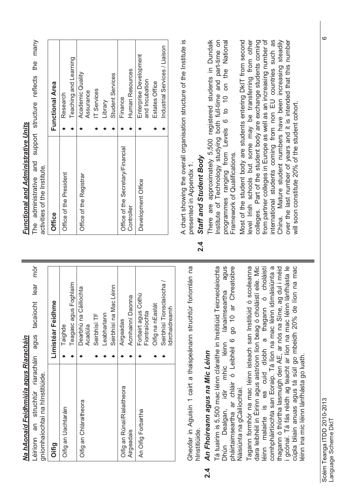| I                                        |   |
|------------------------------------------|---|
| 1                                        |   |
|                                          |   |
| I                                        |   |
|                                          |   |
|                                          |   |
|                                          |   |
| y                                        | j |
| Í                                        |   |
|                                          |   |
| ļ                                        |   |
|                                          |   |
| Š                                        |   |
|                                          |   |
|                                          |   |
|                                          |   |
|                                          | ļ |
|                                          |   |
|                                          |   |
|                                          |   |
| i                                        |   |
|                                          |   |
| ı.<br>t                                  |   |
|                                          |   |
|                                          |   |
|                                          |   |
| ۰,                                       |   |
| I                                        |   |
|                                          |   |
|                                          |   |
|                                          |   |
|                                          |   |
| ļ                                        | l |
| J                                        |   |
| ֧֢ׅ֧ׅ֚֚֚֚֚֚֚֚֚֚֚֚֚֚֚֚֚֚֚֚֚֚֚֚֞֡֓֡֡֡֓֡֡֡֬ |   |
|                                          | I |

mór Léiríonn an struchtúr riaracháin agus tacaíocht lear mór Léiríonn an struchtúr riaracháin agus tacaíocht lear aniamhainchtaí na hInetitiúide

| gníomhaíochtaí na hInstitiúide. |                                      |
|---------------------------------|--------------------------------------|
| Oifig                           | Limistéar Feidhme                    |
| Oifig an Uachtaráin             | Taighde                              |
|                                 | Teagasc agus Foghlaim                |
| Oifig an Chláraitheora          | Dearbhú na Cáilíochta                |
|                                 | Acadúla                              |
|                                 | Seirbhísí TF                         |
|                                 | Leabharlann                          |
|                                 | Seirbhísí na Mac Léinn               |
| Oifig an Rúnaí/Rialaitheora     | Airgeadas                            |
| Airgeadais                      | Acmhainní Daonna                     |
| An Oifig Forbartha              | Forbairt agus Cothú<br>Fiontraíochta |
|                                 | Oifig na nEastát                     |
|                                 | Seirbhísí Tionsclaíocha              |
|                                 | Idirchaidreamh                       |

Gheofar in Aguisín 1 cairt a thaispeánann struchtúr foriomlán na Gheofar in Aguisín 1 cairt a thaispeánann struchtúr foriomlán na hInstitiúide.

### An Fhoireann agus na Mic Léinn **2.4** *An Fhoireann agus na Mic Léinn*  $\overline{2}$ .4

lánaimseartha agus pháirtaimseartha ar chláir ó Leibhéil 6 go 10 ar Chreatoibre Tá tuairim is 5,500 mac léinn cláraithe in Insititiúid Teicneolaíochta Tá tuairim is 5,500 mac léinn cláraithe in Insititiúid Teicneolaíochta Dhún Dealgan, idir mhic léinn lánaimseartha agus pháirtaimseartha ar chláir ó Leibhéil 6 go 10 ar Chreatoibre idir mhic léinn Náisiúnta na gCáilíochtaí. Náisiúnta na gCáilíochtaí. Dhún Dealgan,

thagann ó thíortha lasmuigh den AE, ar nós na Síne, ag dul i méid dara leibhéil in Éirinn agus aistríonn líon beag ó choláistí eile. Mic éinn malairte is ea cuid díobh a thagann ó choláistí comhpháirtíochta san Eoraip. Tá líon na mac léinn idirnáisiúnta a i gcónaí. Tá fás réidh ag teacht ar líon na mac léinn lánfhásta le cúpla bliain anuas agus tá súil go mbeidh 20% de líon na mac Tagann formhór na mac léinn isteach san Institiúid ó scoileanna Tagann formhór na mac léinn isteach san Institiúid ó scoileanna dara leibhéil in Éirinn agus aistríonn líon beag ó choláistí eile. Mic léinn malairte is ea cuid díobh a thagann ó choláistí comhpháirtíochta san Eoraip. Tá líon na mac léinn idirnáisiúnta a i gcónaí. Tá fás réidh ag teacht ar líon na mac léinn lánfhásta le cúpla bliain anuas agus tá súil go mbeidh 20% de líon na mac thagann ó thíortha lasmuigh den AE, ar nós na Síne, ag dul i méid éinn ina mic léinn lánfhásta go luath. léinn ina mic léinn lánfhásta go luath.

The administrative and support structure reflects the many The administrative and support structure reflects the many activities of the Institute

| activities of the Institute.      |                               |
|-----------------------------------|-------------------------------|
| Office                            | Functional Area               |
| Office of the President           | Research                      |
|                                   | Teaching and Learning         |
| Office of the Registrar           | Academic Quality<br>Assurance |
|                                   | IT Services                   |
|                                   | Library                       |
|                                   | Student Services              |
| Office of the Secretary/Financial | Finance                       |
| Controller                        | Human Resources               |
| Development Office                | Enterprise Development        |
|                                   | and Incubation                |
|                                   | Estates Office                |
|                                   | Industrial Services / Liaison |
|                                   |                               |

A chart showing the overall organisation structure of the Institute is A chart showing the overall organisation structure of the Institute is presented in Appendix 1. presented in Appendix 1.

### **2.4** *Staff and Student Body* Staff and Student Body  $2\frac{4}{3}$

There are approximately 5,500 registered students in Dundalk There are approximately 5,500 registered students in Dundalk nstitute of Technology studying both full-time and part-time on programmes ranging from Levels 6 to 10 on the National Institute of Technology studying both full-time and part-time on programmes ranging from Levels 6 to 10 on the National Framework of Qualifications. Framework of Qualifications.

nternational students coming from non EU countries such as Most of the student body are students entering DkIT from second evel Irish schools but some may be transferring from other level Irish schools but some may be transferring from other colleges. Part of the student body are exchange students coming from partner colleges in Europe as well as an increasing number of from partner colleges in Europe as well as an increasing number of China. Mature student numbers have been increasing steadily China. Mature student numbers have been increasing steadily over the last number of years and it is intended that this number Most of the student body are students entering DkIT from second colleges. Part of the student body are exchange students coming international students coming from non EU countries such as over the last number of years and it is intended that this number will soon constitute 20% of the student cohort. will soon constitute 20% of the student cohort.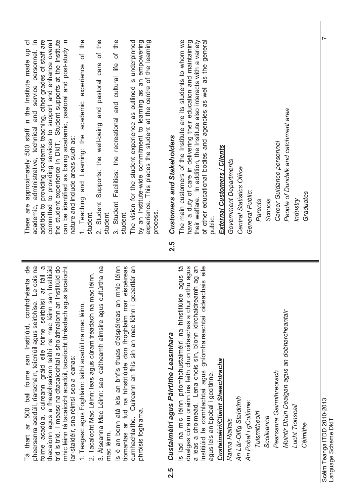| addition to providing academic teaching, other grades of staff are<br>committed to providing services to support and enhance overall<br>the student experience in DkIT. Student supports at the Institute<br>can be identified as being academic, pastoral and post-study in<br>experience. This places the student at the centre of the learning<br>by an Institute-wide commitment to learning as an empowering<br>The vision for the student experience as outlined is underpinned<br>approximately 500 staff in the Institute made up<br>administrative, technical and service personnel.<br>pastoral care<br>Facilities: the recreational and cultural life<br>experience<br>academic<br>and<br>Supports: the well-being<br>and Learning: the<br>nature and include areas such as:<br>1. Teaching<br>Student<br>Student<br>There are<br>academic,<br>process.<br>student.<br>student.<br>student<br>$\ddot{\circ}$<br>$\overline{\mathcal{N}}$<br>9P<br>phearsanra acadúil, riaracháin, teicniúil agus seirbhíse. Le cois na<br>tríd is tríd. I measc na dtacaíochtaí a sholáthraíonn an Institiúid do<br>Is é an bonn atá leis an bhfís thuas d'eispéireas an mhic léinn<br>tiomantas ar fud na hInstitiúide don fhoghlaim mar eispéireas<br>gceartlár an<br>$\infty$<br>thacaíonn agus a fheabhsaíonn taithí na mac léinn san Institiúid<br>mhic léinn tá tacaíocht acadúil, tacaíocht thréadach agus tacaíocht<br>3. Aiseanna Mac Léinn: saol caitheamh aimsire agus cultúrtha na<br>foirne acadúla, cuireann gráid eile foirne seirbhísí ar fáil<br>2. Tacaíocht Mac Léinn: leas agus cúram tréadach na mac léinn.<br>comhdhéanta<br>1. Teagasc agus Foghlaim: taithí acadúil na mac léinn.<br>cumhachtaithe. Cuireann an fhís sin an mac léinn<br>san Institiúid, | The main customers of the Institute are its students to whom we<br>their welfare. In addition, the Institute also interacts with a variety<br>of other educational bodies and agencies as well as the general<br>have a duty of care in delivering their education and maintaining<br>People of Dundalk and catchment area<br>Customers and Stakeholders<br>Career Guidance personnel<br>External Customers / Clients<br>Government Departments<br>Central Statistics Office<br>General Public:<br>Schools<br>Industry<br>Parents<br>public.<br>2.5<br>eile<br>agus tá       |
|-----------------------------------------------------------------------------------------------------------------------------------------------------------------------------------------------------------------------------------------------------------------------------------------------------------------------------------------------------------------------------------------------------------------------------------------------------------------------------------------------------------------------------------------------------------------------------------------------------------------------------------------------------------------------------------------------------------------------------------------------------------------------------------------------------------------------------------------------------------------------------------------------------------------------------------------------------------------------------------------------------------------------------------------------------------------------------------------------------------------------------------------------------------------------------------------------------------------------------------------------------------------------------------------------------------------------------------------------------------------------------------------------------------------------------------------------------------------------------------------------------------------------------------------------------------------------------------------------------------------------------------------------------------------------------------------------------------------------------------------------------------------------------|------------------------------------------------------------------------------------------------------------------------------------------------------------------------------------------------------------------------------------------------------------------------------------------------------------------------------------------------------------------------------------------------------------------------------------------------------------------------------------------------------------------------------------------------------------------------------|
| iar-staidéir, sna réimsí seo a leanas:                                                                                                                                                                                                                                                                                                                                                                                                                                                                                                                                                                                                                                                                                                                                                                                                                                                                                                                                                                                                                                                                                                                                                                                                                                                                                                                                                                                                                                                                                                                                                                                                                                                                                                                                      | dualgas cúraim orainn ina leith chun oideachas a chur orthu agus<br>a leas a choimeád. Lena chois sin, bíonn idirchaidreamh ag an<br>Institiúid le comhlachtaí agus gníomhaireachtaí oideachais<br>Is iad na mic léinn príomhchustaiméirí na hInstitiúide<br>Muintir Dhún Dealgan agus an dobharcheantair<br>Custaiméirí agus Páirtithe Leasmhara<br>Custaiméirí/Cliaint Sheachtracha<br>Pearsanra Gairmthreorach<br>agus leis an bpobal i gcoitinne.<br>An Lár-Oifig Staidrimh<br>An Pobal i gCoitinne:<br>Lucht Tionscail<br>Tuismitheoirí<br>Scoileanna<br>Ranna Rialtais |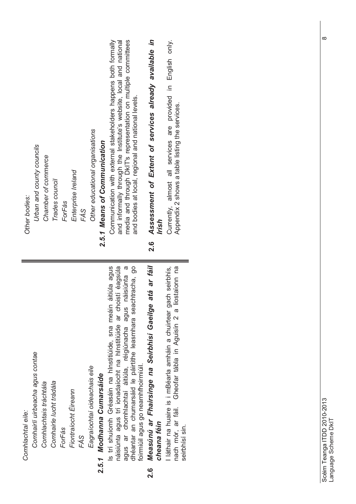| Other bodies:     | Urban and county councils       | Chamber of commerce    | Trades council          | ForFás | Enterprise Ireland   | FÁS | Other educational organisations | 2.5.1 Means of Communication | media and through DkIT's representation on multiple committees<br>Communication with external stakeholders happens both formally<br>and informally through the Institute's website, local and national<br>and bodies at local, regional and national levels.                                                              | Assessment of Extent of services already available in<br>Irish<br><u>୦</u><br>2.     | Currently, almost all services are provided in English only.<br>Appendix 2 shows a table listing the services.                                              |  |
|-------------------|---------------------------------|------------------------|-------------------------|--------|----------------------|-----|---------------------------------|------------------------------|---------------------------------------------------------------------------------------------------------------------------------------------------------------------------------------------------------------------------------------------------------------------------------------------------------------------------|--------------------------------------------------------------------------------------|-------------------------------------------------------------------------------------------------------------------------------------------------------------|--|
| Comhlachtaí eile: | Comhairlí uirbeacha agus contae | Comhlachtais tráchtála | Comhairle lucht trádála | ForFás | Fiontraíocht Éireann | FÁS | Eagraíochtaí oideachais eile    | 2.5.1 Modhanna Cumarsáide    | áitiúla agus<br>náisiúnta agus trí ionadaíocht na hInstitiúide ar choistí éagsúla<br>dhéantar an chumarsáid le páirtithe leasmhara seachtracha, go<br>$\sigma$<br>náisiúnta<br>Is trí shuíomh Gréasáin na hInstitiúide, sna meáin<br>agus ar chomhlachtaí áitiúla, réigiúnacha agus<br>foirmiúil agus go neamhfhoirmiúil. | atá ar fáil<br>Measúnú ar Fhairsinge na Seirbhísí Gaeilge<br>cheana féin<br><u>୍</u> | liostaionn na<br>I láthair na huaire is i mBéarla amháin a chuirtear gach seirbhís,<br>Gheofar tábla in Aguisín 2 a<br>nach mór, ar fáil.<br>seirbhísí sin. |  |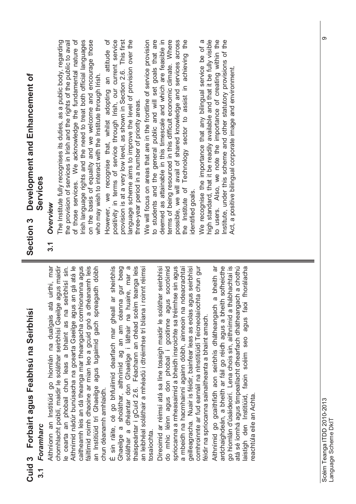| Feabhsú na Seirbhísí |        |
|----------------------|--------|
|                      |        |
|                      |        |
| Forbairt agus        |        |
|                      |        |
|                      |        |
| $\bullet$<br>p       | l      |
| <b>Cuid</b>          | י<br>י |

### Foramharc **3.1** *Foramharc*  $\overline{3}$

caitheamh leis an dá theanga mar theangacha comhionanna agus Aithníonn an Institiúid go hiomlán na dualgais atá uirthi, mar chomhlacht poiblí, maidir le soláthar seirbhísí Gaeilge agus maidir Aithnímid nádúr bunúsacha na gcearta Gaeilge agus an gá atá le fáiltímid roimh dhaoine ar mian leo a gcuid gnó a dhéanamh leis Aithníonn an Institiúid go hiomlán na dualgais atá uirthi, mar chomhlacht poiblí, maidir le soláthar seirbhísí Gaeilge agus maidir e cearta an phobail chun leas a bhaint as na seirbhísí sin. Aithnímid nádúr bunúsacha na gcearta Gaeilge agus an gá atá le caitheamh leis an dá theanga mar theangacha comhionanna agus fáiltímid roimh dhaoine ar mian leo a gcuid gnó a dhéanamh leis an Institiúid trí Ghaeilge agus tugaimid gach spreagadh dóibh le cearta an phobail chun leas a bhaint as na seirbhísí sin. an Institiúid trí Ghaeilge agus tugaimid gach spreagadh dóibh chun déanamh amhlaidh. chun déanamh amhlaidh.

Ghaeilge a sholáthar, aithnímid ag an am céanna gur beag<br>soláthar a dhéantar don Ghaeilge i láthair na huaire, mar a soláthar a dhéantar don Ghaeilge i láthair na huaire, mar a thaispeántar i gCuid 2.6. Féachann an chéad scéim teanga leis É sin ráite, cé go bhfuilimid dearfach mar gheall ar sheirbhís an leibhéal soláthair a mhéadú i dtréimhse trí bliana i roinnt réimsí É sin ráite, cé go bhfuilimid dearfach mar gheall ar sheirbhís thaispeántar i gCuid 2.6. Féachann an chéad scéim teanga leis an leibhéal soláthair a mhéadú i dtréimhse trí bliana i roinnt réimsí Ghaeilge a sholáthar, aithnímid ag an am céanna gur beag tosaíochta.

spriocanna a mheasaimid a bheidh insroichte sa tréimhse sin agus do mhic léinn agus don phobal i gcoitinne agus socróimid a mbeidh na hacmhainní againn dóibh, ainneoin na ndeacrachtaí geilleagracha. Nuair is féidir, bainfear leas as eolas agus seirbhísí comhroinnte ar fud earnáil na nInstitiúidí Teicneolaíochta chun gur Direoimid ar réimsí atá sa líne tosaigh maidir le soláthar seirbhísí Díreoimid ar réimsí atá sa líne tosaigh maidir le soláthar seirbhísí do mhic léinn agus don phobal i gcoitinne agus socróimid spriocanna a mheasaimid a bheidh insroichte sa tréimhse sin agus a mbeidh na hacmhainní againn dóibh, ainneoin na ndeacrachtaí geilleagracha. Nuair is féidir, bainfear leas as eolas agus seirbhísí<br>comhraíonta ar fud acrostil na plastiticidí Teiconolaíonta chun aur comhroinnte ar fud earnáil na nInstitiúidí Teicneolaíochta chun gur féidir na spriocanna sainaitheanta a bhaint amach. féidir na spriocanna sainaitheanta a bhaint amach.

ardchaighdeán, a bheith ar fáil go réidh agus a bheith sofheicthe go hiomlán d'úsáideoirí. Lena chois sin, aithnímid a thábhachtaí is atá sé íomhá agus timpeallacht dhearfach dhátheangach a chothú aistigh den Institiúid, faoin scéim seo agus faoi fhorálacha Aithnímid go gcaithfidh aon seirbhís dhátheangach a bheith ar go hiomlán d'úsáideoirí. Lena chois sin, aithnímid a thábhachtaí is<br>منذ مذ نصصف حمست tiemeollacht Aithnímid go gcaithfidh aon seirbhís dhátheangach a bheith ar ardchaighdeán, a bheith ar fáil go réidh agus a bheith sofheicthe atá sé íomhá agus timpeallacht dhearfach dhátheangach a chothú laistigh den Institiúid, faoin scéim seo agus faoi fhorálacha reachtúla eile an Achta. reachtúla eile an Achta.

# Section 3 Development and Enhancement of **Section 3 Development and Enhancement of Services**

**3.1** *Overview* of those services. We acknowledge the fundamental nature of rish language rights and the need to treat both official languages on the basis of equality and we welcome and encourage those the provision of services in Irish and the rights of the public to avail of those services. We acknowledge the fundamental nature of The Institute fully recognises its duties, as a public body, regarding the provision of services in Irish and the rights of the public to avail Irish language rights and the need to treat both official languages on the basis of equality and we welcome and encourage those who may wish to interact with the Institute through Irish. who may wish to interact with the Institute through Irish.

However, we recognise that, whilst adopting an attitude of positivity in terms of service through Irish, our current service provision is at a very low level, as shown in Section 2.6. This first However, we recognise that, whilst adopting an attitude of provision is at a very low level, as shown in Section 2.6. This first anguage scheme aims to improve the level of provision over the positivity in terms of service through Irish, our current service language scheme aims to improve the level of provision over the three-year period in a number of priority areas. three-year period in a number of priority areas.

We will focus on areas that are in the frontline of service provision to students and the general public and will set goals that are deemed as attainable in this timescale and which are feasible in terms of being resourced in this difficult economic climate. Where possible, we will avail of shared knowledge and services across the Institute of Technology sector to assist in achieving the deemed as attainable in this timescale and which are feasible in We will focus on areas that are in the frontline of service provision to students and the general public and will set goals that are terms of being resourced in this difficult economic climate. Where possible, we will avail of shared knowledge and services across the Institute of Technology sector to assist in achieving the

We recognise the importance that any bilingual service be of a<br>tisk storaged that it be readily subjected and that it be fully visible dentified goals.<br>We recognise the importance that any bilingual service be of a high standard, that it be readily available and that it be fully visible to users. Also, we note the importance of creating within the nstitute, under this scheme and other statutory provisions of the high standard, that it be readily available and that it be fully visible to users. Also, we note the importance of creating within the Institute, under this scheme and other statutory provisions of the Act, a positive bilingual corporate image and environment. Act, a positive bilingual corporate image and environment.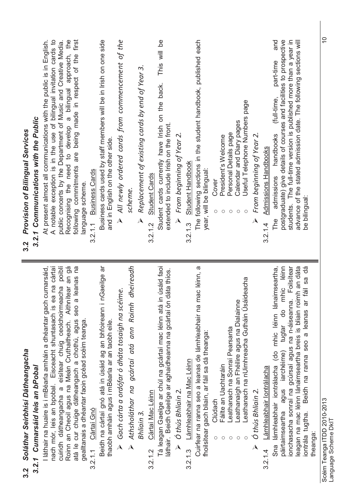| Soláthar Seirbhísí Dátheangacha<br>3.2<br>                                                                                                                                                                                                                                                                                                                                                                   | <b>Provision of Bilingual Services</b><br>3.2                                                                                                                                                                                                                                                                                                               |
|--------------------------------------------------------------------------------------------------------------------------------------------------------------------------------------------------------------------------------------------------------------------------------------------------------------------------------------------------------------------------------------------------------------|-------------------------------------------------------------------------------------------------------------------------------------------------------------------------------------------------------------------------------------------------------------------------------------------------------------------------------------------------------------|
| 3.2.1 Cumarsáid leis an bPobal                                                                                                                                                                                                                                                                                                                                                                               | 3.2.1 Communications with the Public                                                                                                                                                                                                                                                                                                                        |
| seo a leanas na<br>I láthair na huaire is i mBéarla amháin a dhéantar gach cumarsáid,<br>poiblí<br>Aithnítear an gá<br>nach mór, leis an bpobal. Eisceacht shuntasach is ea na cártaí<br>cuiridh dátheangacha a eisítear chuig ceolchoirmeacha<br>Roinn an Cheoil agus na Meán Cruthaitheach. Aithnítear<br>atá le cur chuige dátheangach a chothú, agus<br>gealltanais a dhéantar faoin gcéad scéim teanga. | A notable exception is in the use of bilingual invitation cards to<br>public concerts by the Department of Music and Creative Media.<br>Recognising the need to develop a bilingual approach, the<br>At present almost all communications with the public is in English.<br>following commitments are being made in respect of the first<br>anguage scheme. |
| 3.2.1.1 Cártaí Gnó                                                                                                                                                                                                                                                                                                                                                                                           | <b>Business Cards</b><br>3.2.1.1                                                                                                                                                                                                                                                                                                                            |
| nGaeilge ar<br>Beidh na cártaí gnó atá in úsáid ag an bhfoireann i<br>thaobh amháin agus i mBéarla ar an taobh eile.                                                                                                                                                                                                                                                                                         | Business cards used by staff members will be in Irish on one side<br>and in English on the other side                                                                                                                                                                                                                                                       |
| $\triangleright$ Gach cárta a ordófar ó dháta tosaigh na scéime.                                                                                                                                                                                                                                                                                                                                             | $\triangleright$ All newly ordered cards from commencement of the                                                                                                                                                                                                                                                                                           |
| dheireadh<br>Athsholáthar na gcártaí atá ann Roimh<br>$\lambda$                                                                                                                                                                                                                                                                                                                                              | scheme.                                                                                                                                                                                                                                                                                                                                                     |
| Bhliain 3.                                                                                                                                                                                                                                                                                                                                                                                                   | Replacement of existing cards by end of Year 3.<br>$\overline{\mathbf{A}}$                                                                                                                                                                                                                                                                                  |
| Cártaí Mac Léinn<br>3.2.1.2                                                                                                                                                                                                                                                                                                                                                                                  | 3.2.1.2 Student Cards                                                                                                                                                                                                                                                                                                                                       |
| Tá leagan Gaeilge ar chúl na gcártaí mac léinn atá in úsáid faoi<br>dáta thios.<br>láthair. Beidh Gaeilge ar aghaidheanna na gcártaí ón                                                                                                                                                                                                                                                                      | This will be<br>Student cards currently have Irish on the back.<br>extended to include Irish on the front.                                                                                                                                                                                                                                                  |
| $\triangleright$ Ó thús Bhliain 2.                                                                                                                                                                                                                                                                                                                                                                           | From beginning of Year 2.<br>$\lambda$                                                                                                                                                                                                                                                                                                                      |
| Lámhleabhair na Mac Léinn<br>3.2.1.3                                                                                                                                                                                                                                                                                                                                                                         | Student Handbook<br>3.2.1.3                                                                                                                                                                                                                                                                                                                                 |
| Cuirfear na ranna seo a leanas de lámhleabhair na mac léinn, a<br>fhoilsítear gach bliain, ar fáil sa dá theanga:                                                                                                                                                                                                                                                                                            | The following sections in the student handbook, published each<br>year, will be bilingual:                                                                                                                                                                                                                                                                  |
| Clúdach                                                                                                                                                                                                                                                                                                                                                                                                      | Cover<br>$\circ$                                                                                                                                                                                                                                                                                                                                            |
| Fáilte an Uachtaráin<br>O                                                                                                                                                                                                                                                                                                                                                                                    | President's Welcome<br>$\circ$                                                                                                                                                                                                                                                                                                                              |
| eathanaigh an Fhéilire agus na Dialainne<br>Leathanach na Sonraí Pearsanta<br>О<br>O                                                                                                                                                                                                                                                                                                                         | Calendar and Diary pages<br>Personal Details page<br>О<br>О                                                                                                                                                                                                                                                                                                 |
| eathanach na nUimhreacha Gutháin Úsáideacha                                                                                                                                                                                                                                                                                                                                                                  | Useful Telephone Numbers page<br>C                                                                                                                                                                                                                                                                                                                          |
| Ó thús Bhliain 2.                                                                                                                                                                                                                                                                                                                                                                                            | From beginning of Year 2.<br>$\overline{\mathbf{A}}$                                                                                                                                                                                                                                                                                                        |
| Lámhleabhair Iontrálacha<br>3.2.1.4                                                                                                                                                                                                                                                                                                                                                                          | <b>Admissions Handbooks</b><br>3.2.1.4                                                                                                                                                                                                                                                                                                                      |
| lámhleabhair iontrálacha (do mhic léinn lánaimseartha,<br>iimseartha agus iarchéime) tugtar do mhic léinn<br>Sna                                                                                                                                                                                                                                                                                             | and<br>part-time<br>(full-time,<br>handbooks<br>admissions<br>The                                                                                                                                                                                                                                                                                           |
| ionchasacha sonraí na gcúrsaí agus na n-áiseanna. Foilsítear<br>páirtaimseartha                                                                                                                                                                                                                                                                                                                              | postgraduate) give details of courses and facilities to prospective<br>students. The full-time version is published more than a year in                                                                                                                                                                                                                     |
| leagan na mac léinn lánaimseartha breis is bliain roimh an dáta                                                                                                                                                                                                                                                                                                                                              | advance of the stated admission date. The following sections will                                                                                                                                                                                                                                                                                           |
| Beidh na ranna seo a leanas ar fáil sa dá<br>iontrála tugtha.                                                                                                                                                                                                                                                                                                                                                | be bilingual:                                                                                                                                                                                                                                                                                                                                               |
| theanga:                                                                                                                                                                                                                                                                                                                                                                                                     |                                                                                                                                                                                                                                                                                                                                                             |
|                                                                                                                                                                                                                                                                                                                                                                                                              |                                                                                                                                                                                                                                                                                                                                                             |

់<br>ត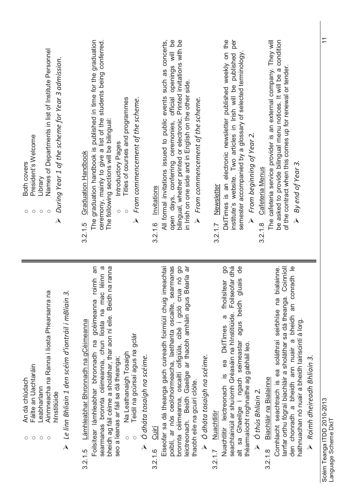| Names of Departments in list of Institute Personnel<br>During Year 1 of the scheme for Year 3 admission.<br>President's Welcome<br>Both covers<br>Library<br>$\circlearrowright$<br>$\circ$<br>$\circ$<br>О<br>$\overline{\mathbf{A}}$      | per<br>open days, conferring ceremonies, official openings will be<br>bilingual, whether printed or electronic. Printed invitations with be<br>DkITimes is an electronic newsletter published weekly on the<br>The cafeteria service provider is an external company. They will<br>be asked to provide bilingual menu notices. It will be a condition<br>The graduation handbook is published in time for the graduation<br>All formal invitations issued to public events such as concerts,<br>ceremony, mainly to give a list of the students being conferred.<br>institute's website. Two articles in Irish will be published<br>semester accompanied by a glossary of selected terminology<br>of the contract when this comes up for renewal or tender<br>in Irish on one side and in English on the other side.<br>Titles of courses and programmes<br>$\triangleright$ From commencement of the scheme.<br>$\triangleright$ From commencement of the scheme.<br>The following sections will be bilingual:<br>$\triangleright$ From beginning of Year 2.<br>Introductory Pages<br><b>Graduation Handbook</b><br>By end of Year 3.<br>3.2.1.8 Cafeteria Menus<br>Newsletter<br>3.2.1.6 Invitations<br>$\circ$<br>$\bigcirc$<br>$\lambda$<br>3.2.1.7<br>3.2.1.5                                                                                                                                                                                                                                                   | $\overline{1}$                     |
|---------------------------------------------------------------------------------------------------------------------------------------------------------------------------------------------------------------------------------------------|----------------------------------------------------------------------------------------------------------------------------------------------------------------------------------------------------------------------------------------------------------------------------------------------------------------------------------------------------------------------------------------------------------------------------------------------------------------------------------------------------------------------------------------------------------------------------------------------------------------------------------------------------------------------------------------------------------------------------------------------------------------------------------------------------------------------------------------------------------------------------------------------------------------------------------------------------------------------------------------------------------------------------------------------------------------------------------------------------------------------------------------------------------------------------------------------------------------------------------------------------------------------------------------------------------------------------------------------------------------------------------------------------------------------------------------------------------------------------------------------------------------------|------------------------------------|
| Ainmneacha na Ranna i liosta Phearsanra na<br>Le linn Bhliain 1 den scéim d'iontráil i mBliain 3.<br>Fáilte an Uachtaráin<br>An dá chlúdach<br>Leabharlann<br>hInstitiúide<br>$\circ$<br>$\circ$<br>$\circ$<br>О<br>$\overline{\mathbf{A}}$ | bronnta céimeanna, oscailtí oifigiúla, cibé i gcló crua nó go<br>ă<br>roimh an<br>imeachtaí<br>90<br>bheidh ag fáil céime a sholáthar, thar aon ní eile. Beidh na ranna<br>poiblí, ar nós ceolchoirmeacha, laethanta oscailte, searmanas<br>9P<br>den chonradh a bheidh ann nuair a bheidh an conradh le<br>$\omega$<br>seachtainiúil ar shuíomh Gréasáin na hInstitiúide. Foilseofar dhá<br>Coinníoll<br>bialainne.<br>Foilsítear lámhleabhar bhronnadh na gcéimeanna roimh a<br>searmanas bronnta céimeanna, chun liosta na mac léinn<br><b>Béarla</b><br>gluais<br>fhoilsitear<br>leictreonach. Beidh Gaeilge ar thaobh amháin agus<br>Eiseofar sa dá theanga gach cuireadh foirmiúil chuig<br>larrfar orthu fógraí biachláir a sholáthar sa dá theanga.<br>Comhlacht seachtrach is ea soláthraí seirbhíse na<br>agus beidh<br>gcéimeanna<br>is ea DkITimes a<br>hathnuachan nó nuair a bheidh tairiscintí á lorg.<br>Lámhleabhar Bhronnadh na gCéimeanna<br>Teidil na gcúrsaí agus na gclár<br>alt sa Ghaeilge i ngach seimeastar<br>théarmaíocht roghnaithe ag gabháil leo.<br>Na Leathanaigh Tosaigh<br>$\triangleright$ Ó dháta tosaigh na scéime.<br>$\triangleright$ Ó dháta tosaigh na scéime.<br>$\triangleright$ Roimh dheireadh Bhliain 3.<br>seo a leanas ar fáil sa dá theanga;<br>Biachláir na Bialainne<br>thaobh eile na gcuirí clóite.<br>Nuachtlitir leictreonach<br>$\triangleright$ $\circ$ thús Bhliain 2.<br><u>Nuachtlitir</u><br>3.2.1.6 Cuirí<br>$\circ$<br>3.2.1.5<br>3.2.1.8<br>3.2.1.7 | Scéim Teanga ITDD 2010-2013<br>ヒュこ |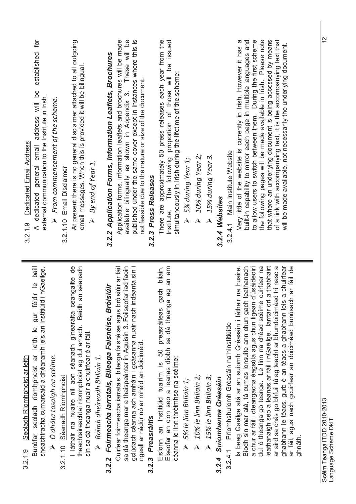| <b>Dedicated Email Address</b><br>3.2.1.9 | ð<br>address will be established<br>external communication to the Institute in Irish.<br>A dedicated general email              | $\blacktriangleright$ From commencement of the scheme. | 3.2.1.10 Email Disclaimer    | At present there is no general disclaimer attached to all outgoing<br>email messages. When this is provided it will be bilingual | $\triangleright$ By end of Year 1.                                                            | 3.2.2 Application Forms, Information Leaflets, Brochures | published under the same cover except in instances where this is<br>Application forms, information leaflets and brochures will be made<br>available bilingually as shown in Appendix 3. These will be<br>not feasible due to the nature or size of the document. | 3.2.3 Press Releases | There are approximately 50 press releases each year from the<br>Institute. The following proportion of those will be issued<br>simultaneously in Irish during the lifetime of the scheme: | 5% during Year 1;<br>$\lambda$ | 10% during Year 2;     | > 15% during Year 3.                    | 3.2.4 Websites            | 3.2.4.1 Main Institute Website                    | the following pages will be made available in Irish. Please note<br>that where an underlying document is being accessed by means<br>built-in capability to mirror each page in multiple languages and<br>to allow users to switch between them. During the first scheme<br>of a link with accompanying text, it is the accompanying text that<br>Very little of the website is currently in Irish. However it has a<br>will be made available, not necessarily the underlying document.                                                                                              |
|-------------------------------------------|---------------------------------------------------------------------------------------------------------------------------------|--------------------------------------------------------|------------------------------|----------------------------------------------------------------------------------------------------------------------------------|-----------------------------------------------------------------------------------------------|----------------------------------------------------------|------------------------------------------------------------------------------------------------------------------------------------------------------------------------------------------------------------------------------------------------------------------|----------------------|-------------------------------------------------------------------------------------------------------------------------------------------------------------------------------------------|--------------------------------|------------------------|-----------------------------------------|---------------------------|---------------------------------------------------|--------------------------------------------------------------------------------------------------------------------------------------------------------------------------------------------------------------------------------------------------------------------------------------------------------------------------------------------------------------------------------------------------------------------------------------------------------------------------------------------------------------------------------------------------------------------------------------|
| Seoladh Ríomhphoist ar leith<br>3.2.1.9   | Bunófar seoladh ríomhphoist ar leith le gur féidir le baill<br>sheachtracha cumarsáid a dhéanamh leis an Institiúid i nGaeilge. | $\triangleright$ O dháta tosaigh na scéime.            | 3.2.1.10 Séanadh Ríomhphoist | I láthair na huaire níl aon séanadh ginearálta ceangailte de<br>theachtaireachtaí ríomhphoist ag dul amach. Beidh an séanadh     | sin sa dá theanga nuair a chuirfear é ar fáil.<br>$\triangleright$ Roimh dheireadh Bhliain 1. | 3.2.2 Foirmeacha Iarratais, Bileoga Faisnéise, Bróisiúir | Cuirfear foirmeacha iarratais, bileoga faisnéise agus bróisiúir ar fáil<br>gclúdach céanna ach amháin i gcásanna nuair nach indéanta sin i<br>sa dá theanga mar a thaispeántar in Aguisín 3. Foilseofar iad faoin<br>ngeall ar nádúr nó ar mhéid an doiciméid.   | 3.2.3 Preasráitis    | an am<br>bliain.<br>Eisíonn an Institiúid tuairim is 50 preasráiteas gach<br>ල<br>බ<br>Eiseofar an cion seo a leanas díobh sa dá theanga<br>céanna le linn thréimhse na scéime:           | > 5% le linn Bhliain 1;        | 10% le linn Bhliain 2; | $\triangleright$ 15% le linn Bhliain 3; | 3.2.4 Suíomhanna Gréasáin | Príomhshuíomh Gréasáin na hInstitiúide<br>3.2.4.1 | a chur ar fáil i dteangacha éagsúla agus chun ligean d'úsáideoirí<br>a thabhairt<br>ar fáil de<br>leathanach<br>cuirfear na<br>ar aird sa chás go bhfuil tú ag teacht ar bhundoiciméad trí nasc a<br>a chuirfear<br>na huaire.<br>Is beag Gaeilge atá ar an suíomh Gréasáin i láthair<br>ar fáil, agus nach gcuirfear an doiciméad bunúsach<br>Bíodh sin mar atá, tá cumas ionsuite ann chun gach l<br>dul ó theanga go teanga. Le linn na chéad scéime<br>leathanaigh seo a leanas ar fáil i nGaeilge. larrtar ort<br>ghabhann le téacs, gurb é an téacs a ghabhann leis<br>ghnáth. |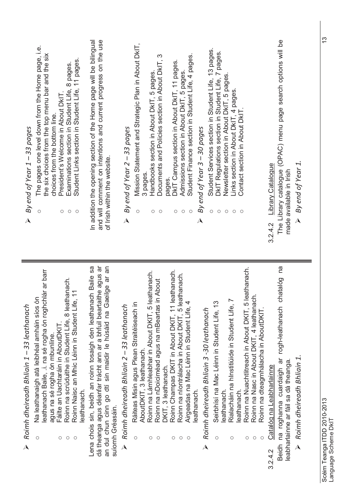| The pages one level down from the Home page, i.e.<br>the six choices from the top menu bar and the six<br>Student Links section in Student Life, 11 pages<br>Examinations section in Student Life, 8 pages.<br>President's Welcome in About DkIT.<br>choices from the bottom line.<br>By end of Year 1 - 33 pages<br>$\bigcirc$<br>$\circ$<br>$\circ$<br>$\overline{\mathbf{A}}$                                                                 | and will comment on intentions and current progress on the use<br>In addition the opening section of the Home page will be bilingual<br>of Irish within the website.                                                         | Mission Statement and Strategic Plan in About DkIT,<br>Student Services section in Student Life, 13 pages.<br>DkIT Regulations section in Student Life, 7 pages.<br>Student Finance section in Student Life, 4 pages.<br>Documents and Policies section in About DkIT, 3<br>DKIT Campus section in About DKIT, 11 pages.<br>Admissions section in About DKIT, 5 pages.<br>Handbooks section in About DkIT, 5 pages.<br>Newsletter section in About DkIT, 5 pages.<br>Links section in About DkIT, 4 pages.<br>Contact section in About DkIT<br>By end of Year 3 - 30 pages<br>By end of Year 2 - 33 pages<br>3 pages.<br>pages.<br>$\circ$<br>$\circ$<br>$\circ$<br>$\bigcirc$<br>$\circ$<br>$\bigcirc$<br>$\circ$<br>O<br>$\circ$<br>$\circ$<br>$\circ$<br>$\lambda$<br>$\overline{\mathcal{A}}$                                                                                                     | The Library catalogue (OPAC) menu page search options will be<br>By end of Year 1.<br>Library Catalogue<br>made available in Irish<br>$\lambda$<br>3.2.4.2                             |
|--------------------------------------------------------------------------------------------------------------------------------------------------------------------------------------------------------------------------------------------------------------------------------------------------------------------------------------------------------------------------------------------------------------------------------------------------|------------------------------------------------------------------------------------------------------------------------------------------------------------------------------------------------------------------------------|-------------------------------------------------------------------------------------------------------------------------------------------------------------------------------------------------------------------------------------------------------------------------------------------------------------------------------------------------------------------------------------------------------------------------------------------------------------------------------------------------------------------------------------------------------------------------------------------------------------------------------------------------------------------------------------------------------------------------------------------------------------------------------------------------------------------------------------------------------------------------------------------------------|----------------------------------------------------------------------------------------------------------------------------------------------------------------------------------------|
| leathanach Baile, .i. na sé rogha ón roghchlár ar barr<br>Roinn na scrúduithe in Student Life, 8 leathanach.<br>Roinn Naisc an Mhic Léinn in Student Life, 11<br>Na leathanaigh atá leibhéal amháin síos ón<br>Roimh dheireadh Bhliain 1 - 33 leathanach<br>Fáilte an Uachtaráin in AboutDKIT.<br>agus na sé rogha ón mbunlíne.<br>leathanach.<br>$\circ$<br>$\circlearrowright$<br>$\circlearrowright$<br>$\bigcirc$<br>$\overline{\mathbf{A}}$ | Lena chois sin, beidh an roinn tosaigh den leathanach Baile sa<br>aithe agus ar<br>an dul chun cinn go dtí sin maidir le húsáid na Gaeilge ar an<br>dá theanga agus déanfar trácht ann ar a bhfuil beart<br>suíomh Gréasáin. | Roinn na Nuachtlitreach in About DKIT, 5 leathanach.<br>Roinn Champas DKIT in About DKIT, 11 leathanach.<br>leathanach.<br>Roinn na nIontrálacha in About DKIT, 5 leathanach.<br>in About<br>Roinn na Nasc in About DKIT, 4 leathanach.<br>$\overline{ }$<br>Seirbhísí na Mac Léinn in Student Life, 13<br>4<br>Ráiteas Misin agus Plean Straitéiseach in<br>Roimh dheireadh Bhliain 2 - 33 leathanach<br>Roinn na nDoiciméad agus na mBeartas<br>Rialacháin na hInstitiúide in Student Life,<br>Roinn na Lámhleabhar in About DKIT, 5<br>Airgeadas na Mac Léinn in Student Life,<br>Roimh dheireadh Bhliain 3 -30 leathanach<br>Roinn na dteagmhálacha in AboutDKIT.<br>AboutDKIT, 3 leathanach.<br>DKIT, 3 leathanach.<br>leathanach.<br>leathanach.<br>leathanach.<br>$\circ$<br>$\circ$<br>O<br>$\circ$<br>$\circ$<br>$\circ$<br>$\circ$<br>О<br>$\circ$<br>$\circ$<br>O<br>$\lambda$<br>$\Delta$ | ma<br>chatalóg<br>na roghanna cuardaigh ar rogh-leathanach<br>Roimh dheireadh Bhliain 1.<br>eabharlainne ar fáil sa dá theanga.<br>Catalóg na Leabharlainne<br><b>Beidh</b><br>3.2.4.2 |

 $3.2.4.2$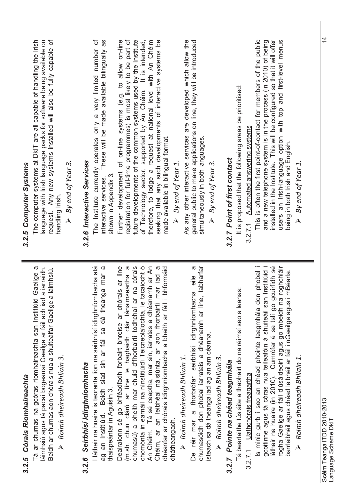| 3.2.5 Córais Ríomhaireachta                                                                                                                                                                                                                                | 3.2.5 Computer Systems                                                                                                                                                                                                                               |
|------------------------------------------------------------------------------------------------------------------------------------------------------------------------------------------------------------------------------------------------------------|------------------------------------------------------------------------------------------------------------------------------------------------------------------------------------------------------------------------------------------------------|
| Tá ar chumas na gcóras ríomhaireachta san Institiúid Gaeilge a<br>láimhsiú agus tá pacaí bogearraí Gaeilge ar fáil ach iad a iarraidh.<br>Beidh ar chumas aon chórais nua a shuiteálfar Gaeilge a láimhsiú.<br>$\triangleright$ Roimh dheireadh Bhliain 3. | request. Any new systems installed will also be fully capable of<br>The computer systems at DkIT are all capable of handling the Irish<br>language with Irish language packs for software being available on<br>By end of Year 3.<br>handling Irish. |
| 3.2.6 Seirbhísí Idirghníomhacha                                                                                                                                                                                                                            | 3.2.6 Interactive Services                                                                                                                                                                                                                           |
| I láthair na huaire is teoranta líon na seirbhísí idirghníomhacha atá<br>ag an Institiúid. Beidh siad sin ar fáil sa dá theanga mar a<br>thaispeántar in Aguisín 3.                                                                                        | ð<br>as<br>The Institute currently operates only a very limited number<br>These will be made available bilingually<br>shown in Appendix 3<br>interactive services.                                                                                   |
| chumasú) a bheith mar chuid d'fhorbairtí todhchaí ar na córais<br>Dealraíonn sé go bhféadfadh forbairt bhreise ar chórais ar líne<br>(m.sh. chun clárú ar líne le haghaidh clár lánaimseartha a                                                            | registration for full-time programmes) is most likely to be part of<br>future developments of the common systems used by the Institute<br>Further development of on-line systems (e.g. to allow on-line                                              |
| An Chéim. Tá sé ceaptha, mar sin, iarratas a dhéanamh ar An<br>chomónta in earnáil na nInstitiúidí Teicneolaíochta, le tacaíocht ó                                                                                                                         | of Technology sector, supported by An Chéim. It is intended,                                                                                                                                                                                         |
| iad<br>a<br>dhéanfar ar chórais idirghníomhacha a bheith ar fáil i bhformáid<br>Chéim, ar an leibhéal náisiúnta, ar aon fhorbairtí mar<br>dhátheangach.                                                                                                    | therefore, to lodge a request at national level with An Chéim<br>seeking that any such developments of interactive systems be<br>made available in bilingual format.                                                                                 |
| $\triangleright$ Roimh dheireadh Bhliain 1.                                                                                                                                                                                                                | As any other interactive services are developed which allow the<br>By end of Year 1.                                                                                                                                                                 |
| chumasóidh don phobal iarratais a dhéanamh ar line, tabharfar<br>eile<br>a<br>De réir mar a fhorbrófar seirbhísí idirghníomhacha<br>isteach sa dá theanga iad ag an am céanna.                                                                             | general public to make applications on line, they will be introduced<br>simultaneously in both languages.<br>$\triangleright$ By end of Year 3.                                                                                                      |
| $\triangleright$ Roimh dheireadh Bhliain 3.                                                                                                                                                                                                                |                                                                                                                                                                                                                                                      |
| 3.2.7 Pointe na chéad teagmhála                                                                                                                                                                                                                            | 3.2.7 Point of first contact                                                                                                                                                                                                                         |
| Tá beartaithe tús áite a thabhairt do na réimsí seo a leanas:                                                                                                                                                                                              | It is proposed that the following areas be prioritised:                                                                                                                                                                                              |
| 3.2.7.1 Uathchórais freagartha                                                                                                                                                                                                                             | 3.2.7.1 Automated answering systems                                                                                                                                                                                                                  |
| Is minic gurb í seo an chéad phointe teagmhála don phobal i<br>gcoitinne agus tá córas nua teileafóin á shuiteáil san Institiúid i<br>láthair na huaire (in 2010). Cumrófar é sa tslí go gcuirfidh sé                                                      | This is often the first point-of-contact for members of the public<br>installed in the Institute. This will be configured so that it will offer<br>and a new telephone system is in the process (in 2010) of being                                   |
| rogha Gaeilge ar fáil d'úsáideoirí agus go mbeidh na roghchláir<br>barrleibhéil agus chéad leibhéil ar fáil i nGaeilge agus i mBéarla.                                                                                                                     | users an Irish-language option with top and first-level menus<br>being in both Irish and English.                                                                                                                                                    |
| Roimh dheireadh Bhliain 1.                                                                                                                                                                                                                                 | $\triangleright$ By end of Year 1.                                                                                                                                                                                                                   |
|                                                                                                                                                                                                                                                            |                                                                                                                                                                                                                                                      |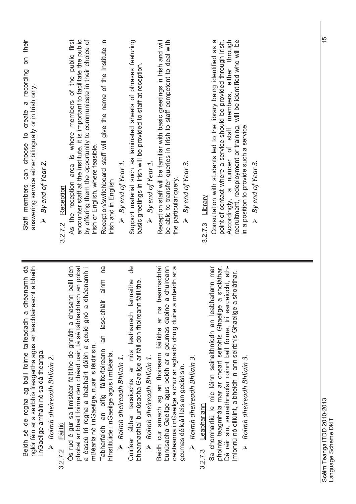| their<br>δ<br>Staff members can choose to create a recording<br>answering service either bilingually or in Irish only.<br>By end of Year 2.<br>$\lambda$                                                                | by offering them the opportunity to communicate in their choice of<br>encounter staff at the institute, it is important to facilitate the public<br>area is where members of the public first<br>Irish or English, where feasible.<br>As the reception<br>3.2.7.2 Reception  | Reception/switchboard staff will give the name of the Institute in<br>$\triangleright$ By end of Year 1.<br>Irish and in English                                                                                              | Support material such as laminated sheets of phrases featuring<br>basic greetings in Irish will be provided to staff at reception<br>$\triangleright$ By end of Year 1. | be able to transfer queries in Irish to staff competent to deal with<br>Reception staff will be familiar with basic greetings in Irish and will<br>By end of Year 3.<br>the particular query.                                                                                               | Accordingly, a number of staff members, either through<br>recruitment, redeployment or training, will be identified who will be<br>Consultation with students led to the library being identified as a<br>point-of-contact where a service should be provided through Irish.<br>in a position to provide such a service<br>By end of Year 3.<br>3.2.7.3 Library<br>$\lambda$ |  |
|-------------------------------------------------------------------------------------------------------------------------------------------------------------------------------------------------------------------------|------------------------------------------------------------------------------------------------------------------------------------------------------------------------------------------------------------------------------------------------------------------------------|-------------------------------------------------------------------------------------------------------------------------------------------------------------------------------------------------------------------------------|-------------------------------------------------------------------------------------------------------------------------------------------------------------------------|---------------------------------------------------------------------------------------------------------------------------------------------------------------------------------------------------------------------------------------------------------------------------------------------|------------------------------------------------------------------------------------------------------------------------------------------------------------------------------------------------------------------------------------------------------------------------------------------------------------------------------------------------------------------------------|--|
| Beidh sé de rogha ag baill foirne taifeadadh a dhéanamh dá<br>nglór féin ar a seirbhís freagartha agus an teachtaireacht a bheith<br>i nGaeilge amháin nó sa dá theanga.<br>$\triangleright$ Roimh dheireadh Bhliain 2. | Ós rud é gur sa limistéar fáiltithe de ghnáth a chasann baill den<br>a éascú trí rogha a thabhairt dóibh a gcuid gnó a dhéanamh i<br>phobal ar bhaill foirne den chéad uair, tá sé tábhachtach an pobal<br>mBéarla nó i nGaeilge, nuair is féidir sin.<br>Fáiltiú<br>3.2.7.2 | de<br>na<br>ainm<br>Cuirfear ábhar tacaíochta ar nós leathanach lannaithe<br>an lasc-chláir<br>Tabharfaidh an oifig fáilte/foireann<br>hInstitiúide i nGaeilge agus i mBéarla.<br>$\triangleright$ Roimh dheireadh Bhliain 1. | bheannachtaí bunúsacha Gaeilge ar fáil don fhoireann fáiltithe.<br>$\triangleright$ Roimh dheireadh Bhliain 1.                                                          | beannachtaí<br>chuireann<br>ceisteanna i nGaeilge a chur ar aghaidh chuig duine a mbeidh ar a<br>bunúsacha Gaeilge agus beidh ar a gcumas daoine a<br>Beidh cur amach ag an fhoireann fáiltithe ar na<br>$\triangleright$ Roimh dheireadh Bhliain 3.<br>gcumas déileáil leis an gceist sin. | Dá réir sin, sainaithneofar roinnt ball foirne, trí earcaíocht, ath-<br>Sa chomhairliú le mic léinn sainaithníodh an leabharlann mar<br>sholáthar.<br>imlonnú nó oiliúint, a bheidh in ann seirbhís Ghaeilge a sholáthar.<br>phointe teagmhála mar ar cheart seirbhís Ghaeilge a<br>Roimh dheireadh Bhliain 3.<br>3.2.7.3 Leabharlann<br>$\lambda$                           |  |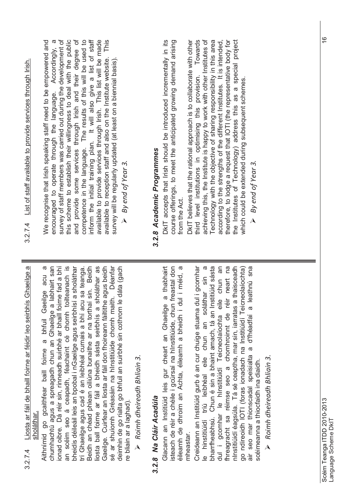| ŗ<br>ር<br>ር | ح<br>کار داخلہ<br>estation lander<br>Il foirno<br>liedd ah liet da haoi l<br>,<br>.<br>j<br>ğ |
|-------------|-----------------------------------------------------------------------------------------------|
|             |                                                                                               |

Aithnímid go gcaithfear baill foirne a bhfuil Gaeilge acu a Aithnímid go gcaithfear baill foirne a bhfuil Gaeilge acu a chumhachtú agus a spreagadh chun an Ghaeilge a labhairt san onad oibre. Dá réir sin, rinneadh suirbhé ar bhaill foirne fad a bhí bheidís déileáil leis an bpobal i nGaeilge agus seirbhísí a sholáthar Gaeilge. Cuirfear an liosta ar fáil don fhoireann fáiltithe agus beidh sé ar shuíomh Gréasáin na hInstitiúide chomh maith. Déanfar an scéim seo á ceapadh, féachaint cé chomh toilteanach is an scéim seo á ceapadh, féachaint cé chomh toilteanach is iosta ball foirne ar fáil a bheidh sásta seirbhís a sholáthar as chumhachtú agus a spreagadh chun an Ghaeilge a labhairt san ionad oibre. Dá réir sin, rinneadh suirbhé ar bhaill foirne fad a bhí bheidís déileáil leis an bpobal i nGaeilge agus seirbhísí a sholáthar trí Ghaeilge agus cad é an leibhéal cumais a bhí acu sa teanga. Beidh an chéad phlean oiliúna bunaithe ar na torthaí sin. Beidh liosta ball foirne ar fáil a bheidh sásta seirbhís a sholáthar as Gaeilge. Cuirfear an liosta ar fáil don fhoireann fáiltithe agus beidh sé ar shuíomh Gréasáin na hInstitiúide chomh maith. Déanfar deimhin de go rialta go bhfuil an suirbhé sin cothrom le dáta (gach deimhin de go rialta go bhfuil an suirbhé sin cothrom le dáta (gach trí Ghaeilge agus cad é an leibhéal cumais a bhí acu sa teanga. Beidh an chéad phlean oiliúna bunaithe ar na torthaí sin. Beidh re bliain ar a laghad). re bliain ar a laghad)

 $\triangleright$  Roimh dheireadh Bhliain 3. *Roimh dheireadh Bhliain 3.*

### 3.2.8 Na Cláir Acadúla *3.2.8 Na Cláir Acadúla*

isteach de réir a chéile i gcúrsaí na hInstitiúide, chun freastal don éileamh de dhroim an Achta, éileamh a bheidh i dul i méid, a éileamh de dhroim an Achta, éileamh a bheidh i dul i méid, a Glacann an Institiúid leis gur cheart an Ghaeilge a thabhairt Glacann an Institiúid leis gur cheart an Ghaeilge a thabhairt isteach de réir a chéile i gcúrsaí na hInstitiúide, chun freastal don<br>«ilocomb de disciple on Aphra Aileann a bheidh i dul i máid a mheastar.

e hinstitiúidí tríú leibhéal eile chun an soláthar sin a le hinstitiúidí tríú leibhéal eile chun an soláthar sin a bharrfheabhsú. Chun é sin a bhaint amach, tá an Institiúid sásta dul i gcomhar le hInstitiúidí Teicneolaíochta eile chun an fhreagracht sa réimse seo a chomhroinnt de réir neart na nInstitiúidí éagsúla. Tá sé ceaptha, mar sin, iarratas a thaisceadh air seo mar thionscadal speisialta a d'fhéadfaí a leathnú sna Creideann an Institiúid gurb é an cur chuige stuama dul i gcomhar Creideann an Institiúid gurb é an cur chuige stuama dul i gcomhar bharrfheabhsú. Chun é sin a bhaint amach, tá an Institiúid sásta fhreagracht sa réimse seo a chomhroinnt de réir neart na nInstitiúidí éagsúla. Tá sé ceaptha, mar sin, iarratas a thaisceadh go ndíreoidh IOTI (foras ionadach na Institiúidí Teicneolaíochta) go ndíreoidh IOTI (foras ionadach na Institiúidí Teicneolaíochta) air seo mar thionscadal speisialta a d'fhéadfaí a leathnú sna dul i gcomhar le hInstitiúidí Teicneolaíochta eile chun an scéimeanna a thiocfaidh ina diaidh. scéimeanna a thiocfaidh ina diaidh.

 *Roimh dheireadh Bhliain 3.*  $\triangleright$  Roimh dheireadh Bhliain 3.

encouraged to operate through the language. Accordingly, a encouraged to operate through the language. Accordingly, a survey of staff members was carried out during the development of this scheme to establish their willingness to deal with the public competence in the language. The results of this will be used to inform the initial training plan. It will also give a list of staff available to provide services through Irish. This list will be made We recognise that Irish speaking staff need to be empowered and survey of staff members was carried out during the development of this scheme to establish their willingness to deal with the public and provide some services through Irish and their degree of and provide some services through Irish and their degree of inform the initial training plan. It will also give a list of staff We recognise that Irish speaking staff need to be empowered and competence in the language. The results of this will be used to available to provide services through Irish. This list will be made available to reception staff and also on the Institute website. This available to reception staff and also on the Institute website. survey will be regularly updated (at least on a biennial basis). survey will be regularly updated (at least on a biennial basis)

 *By end of Year 3.*  $\triangleright$  By end of Year 3.

## 3.2.8 Academic Programmes *3.2.8 Academic Programmes*

DkIT accepts that Irish should be introduced incrementally in its course offerings, to meet the anticipated growing demand arising DkIT accepts that Irish should be introduced incrementally in its course offerings, to meet the anticipated growing demand arising

Towards achieving this, the Institute is happy to work with other Institutes of Technology with the objective of sharing responsibility in this area from the Act.<br>DkIT believes that the rational approach is to collaborate with other DkIT believes that the rational approach is to collaborate with other achieving this, the Institute is happy to work with other Institutes of according to the strengths of the different Institutes. It is intended, therefore, to lodge a request that IOTI (the representative body for therefore, to lodge a request that IOTI (the representative body for the Institutes of Technology) address this as a special project the Institutes of Technology) address this as a special project third level institutions in optimising this provision. Towards Technology with the objective of sharing responsibility in this area according to the strengths of the different Institutes. It is intended, third level institutions in optimising this provision. which could be extended during subsequent schemes. which could be extended during subsequent schemes.

 *By end of Year 3.*By end of Year 3.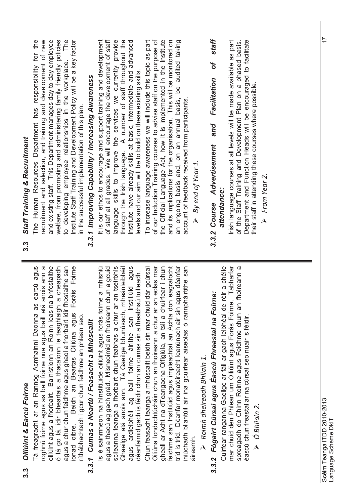| Oiliúint & Earcú Foirne<br><u>ვ.ვ</u>                                                                                                                                                                                                                                                                                                                                                                                                                                     | Staff Training & Recruitment<br>3.3                                                                                                                                                                                                                                                                                                                                                                                                                                |
|---------------------------------------------------------------------------------------------------------------------------------------------------------------------------------------------------------------------------------------------------------------------------------------------------------------------------------------------------------------------------------------------------------------------------------------------------------------------------|--------------------------------------------------------------------------------------------------------------------------------------------------------------------------------------------------------------------------------------------------------------------------------------------------------------------------------------------------------------------------------------------------------------------------------------------------------------------|
| Tá freagracht ar an Rannóg Acmhainní Daonna as earcú agus<br>oiliúint agus a fhorbairt. Bainistíonn an Roinn leas na bhfostaithe<br>roghnú foirne agus as baill foirne nua agus baill atá anois ann a<br>cheapadh<br>agus a chur chun feidhme agus ghaol a fhorbairt idir fhostaithe san<br>Foráis Foirne<br>ó lá go lá, idir bheartais a thacaíonn le teaghlaigh a<br>Beidh an Beartas Oiliúna agus<br>rithábhachtach i gcur chun feidhme an phlean seo.<br>ionad oibre. | Institute Staff Training and Development Policy will be a key factor<br>recruitment and selection, and training and development of new<br>and existing staff. This Department manages day to day employee<br>The<br>the<br>welfare, from promoting and administering family friendly policies<br>The Human Resources Department has responsibility for<br>to developing employee relationships in the workplace.<br>in the successful implementation of this plan. |
| 3.3.1 Cumas a Neartú / Feasacht a Mhúscailt                                                                                                                                                                                                                                                                                                                                                                                                                               | 3.3.1 Improving Capability / Increasing Awareness                                                                                                                                                                                                                                                                                                                                                                                                                  |
| agus ardleibhéil ag baill foirne áirithe san Institiúid agus<br>scileanna teanga a fhorbairt chun feabhas a chur ar an tseirbhís<br>a mhisniú<br>agus a thacú ag gach grád. Misneoimid an fhoireann chun a gcuid<br>Ghaeilge atá anois ann. Tá Gaeilge bhunúsach, mheánleibhéil<br>déanfaimid gach is féidir chun an cumas sin a fheabhsú tuilleadh.<br>Is é sainmheon na hInstitiúide oiliúint agus forás foirne                                                         | of staff at all grades. We will encourage the development of staff<br>anguage skills to improve the services we currently provide<br>through the Irish language. A number of staff throughout the<br>It is our ethos to encourage and support training and development<br>Institute have already skills at basic, intermediate and advanced<br>evels and our aim will be to build on these existing skills.                                                        |
| Chun feasacht teanga a mhúscailt beidh sin mar chuid dár gcúrsaí<br>Oiliúna Ionduchtúcháin chun an fhoireann a chur ar an eolas mar<br>tríd is tríd. Déanfar monatóireacht leanúnach air sin agus déanfar<br>feidhme san Institiúid agus impleachtaí an Achta don eagraíocht<br>gheall ar Acht na dTeangacha Oifigiúla, an tslí a chuirfear í chun<br>iniúchadh bliantúil air ina gcuirfear aiseolas ó rannpháirtithe san<br>áireamh.                                     | of our Induction Training courses to advise staff on the purpose of<br>the Official Language Act, how it is implemented in the Institute<br>and its implications for the organisation. This will be monitored on<br>To increase language awareness we will include this topic as part<br>an ongoing basis and, on an annual basis, be audited taking<br>account of feedback received from participants<br>By end of Year 1                                         |
| 3.3.2 Fógairt Cúrsaí agus Eascú Fhreastal na Foirne:<br>$\triangleright$ Roimh dheireadh Bhliain 1.                                                                                                                                                                                                                                                                                                                                                                       | staff<br>of<br>Facilitation<br>and<br><b>Advertisement</b><br>Course<br>3.3.2                                                                                                                                                                                                                                                                                                                                                                                      |
| Tabharfar<br>Cuirfear ranganna Gaeilge ar fáil ar gach leibhéal de réir a chéile<br>spreagadh do Chinn Roinne agus Feidhme chun an fhoireann a<br>mar chuid den Phlean um Oiliúint agus Forás Foirne.<br>éascú chun freastal ar na cúrsaí seo nuair is féidir.<br>O Bhliain 2.<br>$\lambda$                                                                                                                                                                               | Irish language courses at all levels will be made available as part<br>of the Staff Training and Development Plan on a phased basis.<br>Department and Function Heads will be encouraged to facilitate<br>their staff in attending these courses where possible<br>> From Year 2.<br>attendance:                                                                                                                                                                   |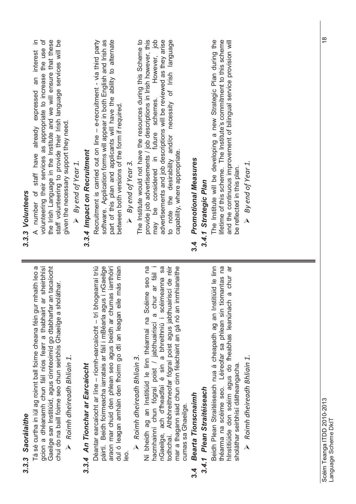| Saorálaithe<br>3.3.3                                                                                                                                                                                                                                                                                                                                          | 3.3.3 Volunteers                                                                                                                                                                                                                                                                                                                                                                     |
|---------------------------------------------------------------------------------------------------------------------------------------------------------------------------------------------------------------------------------------------------------------------------------------------------------------------------------------------------------------|--------------------------------------------------------------------------------------------------------------------------------------------------------------------------------------------------------------------------------------------------------------------------------------------------------------------------------------------------------------------------------------|
| Gaeilge san Institiúid, agus cinnteoimid go dtabharfar an tacaíocht<br>Tá sé curtha in iúl ag roinnt ball foirne cheana féin gur mhaith leo a<br>sheirbhísí<br>chuí do na baill foirne seo chun seirbhís Ghaeilge a sholáthar.<br>gcion a dhéanamh chun fáil níos fearr a thabhairt ar<br>Roimh dheireadh Bhliain 1.<br>$\lambda$                             | volunteering their services as appropriate to increase the use of<br>≘.<br>the Irish Language in the Institute and we will ensure that these<br>staff volunteering to provide their Irish language services will be<br>A number of staff have already expressed an interest<br>given the necessary support they need.<br>$\triangleright$ By end of Year 1.                          |
| 3.3.4 An Tionchar ar Earcaíocht                                                                                                                                                                                                                                                                                                                               | 3.3.4 Impact on Recruitment                                                                                                                                                                                                                                                                                                                                                          |
| páirtí. Beidh foirmeacha iarratais ar fáil i mBéarla agus i nGaeilge<br>más mian<br>Déantar earcaíocht ar líne - ríomh-earcaíocht - trí bhogearraí tríú<br>araon mar chuid den phlean seo agus beidh ar chumas iarrthóirí<br>dul ó leagan amháin den fhoirm go dtí an leagan eile                                                                             | software. Application forms will appear in both English and Irish as<br>part of this plan and applicants will have the ability to alternate<br>Recruitment is carried out on line - e-recruitment - via third party<br>between both versions of the form if required.                                                                                                                |
| Roimh dheireadh Bhliain 3.<br>leo.                                                                                                                                                                                                                                                                                                                            | $\triangleright$ By end of Year 3.                                                                                                                                                                                                                                                                                                                                                   |
| todhchaí. Athbhreithneofar fógraí poist agus jabthuairiscí de réir<br>Ní bheidh ag an Institiúid le linn théarmaí na Scéime seo na<br>a chur ar fáil i<br>nGaeilge, ach d'fheadfaí é sin a bhreithniú i scéimeanna sa<br>mar a thagann siad chun cinn féachaint an gá nó an inmhianaithe<br>hacmhainní chun fógraí poist / jabthuairiscí<br>cumas sa Ghaeilge | The Institute would not have the resources during this Scheme to<br>provide job advertisements / job descriptions in Irish however, this<br>$\frac{d}{d}$<br>advertisements and job descriptions will be reviewed as they arise<br>to note the desirability and/or necessity of Irish language<br>However,<br>may be considered in future schemes.<br>capability, where appropriate. |
| Bearta Tionscnaimh<br>$3\overline{4}$                                                                                                                                                                                                                                                                                                                         | Promotional Measures<br><u>ა</u><br>4                                                                                                                                                                                                                                                                                                                                                |
| 3.4.1 Plean Straitéiseach                                                                                                                                                                                                                                                                                                                                     | 3.4.1 Strategic Plan                                                                                                                                                                                                                                                                                                                                                                 |
| Beidh Plean Straitéiseach nua á cheapadh ag an Institiúid le linn<br>théarma na scéime seo. Léireofar sa phlean sin tiomantas na<br>a chur ar<br>hInstitiúide don scéim agus do fheabhas leanúnach<br>sholáthar seirbhísí dátheangacha.                                                                                                                       | The Institute will be developing a new Strategic Plan during the<br>lifetime of this scheme. The Institute's commitment to this scheme<br>and the continuous improvement of bilingual service provision will<br>be reflected in this plan.                                                                                                                                           |
| Roimh dheireadh Bhliain 1.                                                                                                                                                                                                                                                                                                                                    | By end of Year 1.                                                                                                                                                                                                                                                                                                                                                                    |
|                                                                                                                                                                                                                                                                                                                                                               |                                                                                                                                                                                                                                                                                                                                                                                      |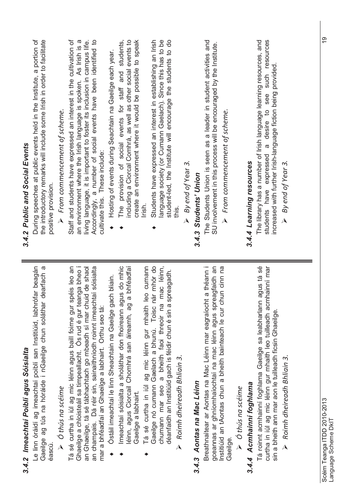| 3.4.2 Imeachtaí Poiblí agus Sóisialta                                                                                                                                                                                                                                                                                                               | 3.4.2 Public and Social Events                                                                                                                                                                                                                                                                                          |
|-----------------------------------------------------------------------------------------------------------------------------------------------------------------------------------------------------------------------------------------------------------------------------------------------------------------------------------------------------|-------------------------------------------------------------------------------------------------------------------------------------------------------------------------------------------------------------------------------------------------------------------------------------------------------------------------|
| Le linn óráidí ag imeachtaí poiblí san Institiúid, labhrófar beagán<br>Gaeilge ag tús na hóráide i nGaeilge chun soláthar dearfach a<br>éascú.                                                                                                                                                                                                      | During speeches at public events held in the Institute, a portion of<br>the introductory remarks will include some Irish in order to facilitate<br>positive provision.                                                                                                                                                  |
| $\triangleright$ Ó thús na scéime                                                                                                                                                                                                                                                                                                                   | $\triangleright$ From commencement of scheme.                                                                                                                                                                                                                                                                           |
| leo an<br>shaol<br>an champais. Dá réir sin, sainaithníodh roinnt imeachtaí sóisialta<br>bheo i<br>an Ghaeilge, tá sé tábhachtach go mbeadh sí mar chuid de<br>Ghaeilge a chloisteáil sa timpeallacht. Os rud é gur teanga<br>Tá sé curtha in iúl ag mic léinn agus baill foirne gur spéis<br>mar a bhféadfaí an Ghaeilge a labhairt. Orthu seo tá: | Staff and students have expressed an interest in the cultivation of<br>an environment where the Irish language is spoken. As Irish is a<br>living language, it is important to foster its inclusion in campus life.<br>Accordingly, a number of social events have been identified to<br>cultivate this. These include: |
| Ostáil imeachtaí le linn Sheachtain na Gaeilge gach bliain.                                                                                                                                                                                                                                                                                         | Hosting of events during Seachtain na Gaeilge each year.                                                                                                                                                                                                                                                                |
| Imeachtaí sóisialta a sholáthar don fhoireann agus do mhic<br>léinn, agus Ciorcail Chomhrá san áireamh, ag a bhféadfaí<br>Gaeilge a labhairt.                                                                                                                                                                                                       | including a Ciorcal Comhrá, as well as other social events to<br>create an environment where it would be possible to speak<br>The provision of social events for staff and students,                                                                                                                                    |
| Tá sé curtha in iúl ag mic léinn gur mhaith leo cumann                                                                                                                                                                                                                                                                                              | lrish.                                                                                                                                                                                                                                                                                                                  |
| Gaeilge nó cumann Gaelach a bhunú. Toisc nár mhór do<br>chumann mar seo a bheith faoi threoir na mac léinn,<br>déanfaidh an Institiúid gach is féidir chun é sin a spreagadh.                                                                                                                                                                       | language society (or Cumann Gaelach). Since this has to be<br>student-led, the Institute will encourage the students to do<br>Students have expressed an interest in establishing an Irish                                                                                                                              |
| $\triangleright$ Roimh dheireadh Bhliain 3.                                                                                                                                                                                                                                                                                                         | this.                                                                                                                                                                                                                                                                                                                   |
|                                                                                                                                                                                                                                                                                                                                                     | $\triangleright$ By end of Year 3.                                                                                                                                                                                                                                                                                      |
| 3.4.3 Aontas na Mac Léinn                                                                                                                                                                                                                                                                                                                           | 3.4.3 Students' Union                                                                                                                                                                                                                                                                                                   |
| Breathnaítear ar Aontas na Mac Léinn mar eagraíocht a théann i<br>gceannas ar ghníomhaíochtaí na mac léinn agus spreagfaidh an<br>Institiúid an tAontas chun a bheith bainteach le cur chun cinn na<br>Gaeilge                                                                                                                                      | The Students Union is seen as a leader in student activities and<br>SU involvement in this process will be encouraged by the Institute.<br>$\triangleright$ From commencement of scheme.                                                                                                                                |
| $\triangleright$ $\circ$ thús na scéime                                                                                                                                                                                                                                                                                                             |                                                                                                                                                                                                                                                                                                                         |
| 3.4.4 Acmhainní foghlama                                                                                                                                                                                                                                                                                                                            | 3.4.4 Learning resources                                                                                                                                                                                                                                                                                                |
| Tá roinnt acmhainní foghlama Gaeilge sa leabharlann agus tá sé<br>curtha in iúl ag mic léinn gur mhaith leo tuilleadh acmhainní mar<br>sin a bheith ann mar aon le tuilleadh ficsin Ghaeilge.                                                                                                                                                       | a desire to see such resources<br>The library has a number of Irish language learning resources, and<br>increased with further Irish-language fiction being provided.<br>students have expressed                                                                                                                        |
| $\triangleright$ Roimh dheireadh Bhliain 3.                                                                                                                                                                                                                                                                                                         | $\triangleright$ By end of Year 3.                                                                                                                                                                                                                                                                                      |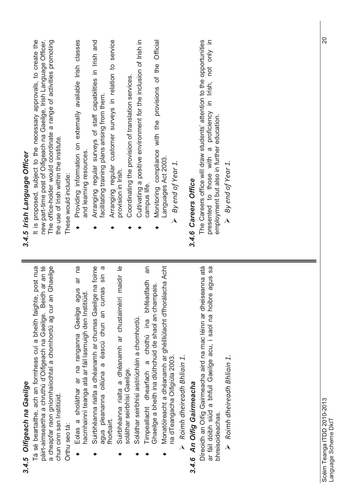| 3.4.5 Oifigeach na Gaeilge                                                                                                                                                                                                             | 3.4.5 Irish Language Officer                                                                                                                                                                                                                             |
|----------------------------------------------------------------------------------------------------------------------------------------------------------------------------------------------------------------------------------------|----------------------------------------------------------------------------------------------------------------------------------------------------------------------------------------------------------------------------------------------------------|
| páirt-aimseartha a chruthú d'Oifigeach na Gaeilge. Beidh ar an té<br>an Ghaeilge<br>Tá sé beartaithe, ach an formheas cuí a bheith faighte, post nua<br>a cheapfar raon gníomhaíochtaí a chomhordú ag cur<br>chun cinn san Institiúid. | It is proposed, subject to the necessary approvals, to create the<br>new part-time post of Oifigeach na Gaeilge, Irish Language Officer.<br>The office-holder would coordinate a range of activities promoting<br>the use of Irish within the institute. |
| Orthu seo tá:                                                                                                                                                                                                                          | These would include:                                                                                                                                                                                                                                     |
| ar na<br>agus<br>hacmhainní teanga atá ar fáil lasmuigh den Institiúid.<br>Eolas a sholáthar ar na ranganna Gaeilge                                                                                                                    | Providing information on externally available Irish classes<br>and learning resources.                                                                                                                                                                   |
| Suirbhéanna rialta a dhéanamh ar chumas Gaeilge na foirne<br>$\sigma$<br>$\frac{1}{3}$<br>agus pleananna oiliúna a éascú chun an cumas                                                                                                 | Arranging regular surveys of staff capabilities in Irish and<br>facilitating training plans arising from them.                                                                                                                                           |
| Suirbhéanna rialta a dhéanamh ar chustaiméirí maidir le<br>fhorbairt.                                                                                                                                                                  | Arranging regular customer surveys in relation to service<br>provision in Irish.                                                                                                                                                                         |
| Soláthar seirbhísí aistriúcháin a chomhordú.<br>soláthar seirbhísí Gaeilge.                                                                                                                                                            | Cultivating a positive environment for the inclusion of Irish in<br>Coordinating the provision of translation services.                                                                                                                                  |
| ΘÊ<br>bhféadfadh<br>Timpeallacht dhearfach a chothú ina                                                                                                                                                                                | campus life.                                                                                                                                                                                                                                             |
| Monatóireacht a dhéanamh ar ghéilliúlacht d'fhorálacha Acht<br>Ghaeilge a bheith ina dlúthchuid de shaol an champais.                                                                                                                  | Monitoring compliance with the provisions of the Official<br>Languages Act 2003.                                                                                                                                                                         |
| na dTeangacha Oifigiúla 2003.<br>Roimh dheireadh Bhliain 1.                                                                                                                                                                            | By end of Year 1.<br>$\overline{\mathbf{A}}$                                                                                                                                                                                                             |
| 3.4.6 An Oifig Gairmeacha                                                                                                                                                                                                              | 3.4.6 Careers Office                                                                                                                                                                                                                                     |
| Díreoidh an Oifig Gairmeacha aird na mac léinn ar dheiseanna atá<br>Sa<br>ar fáil dóibh siúd a bhfuil Gaeilge acu, i saol na hoibre agus<br>bhreisoideachas                                                                            | The Careers office will draw students' attention to the opportunities<br>not only in<br>presented to those with a proficiency in Irish,<br>employment but also in further education.                                                                     |
| $\triangleright$ Roimh dheireadh Bhliain 1.                                                                                                                                                                                            | By end of Year 1.<br>$\lambda$                                                                                                                                                                                                                           |
|                                                                                                                                                                                                                                        |                                                                                                                                                                                                                                                          |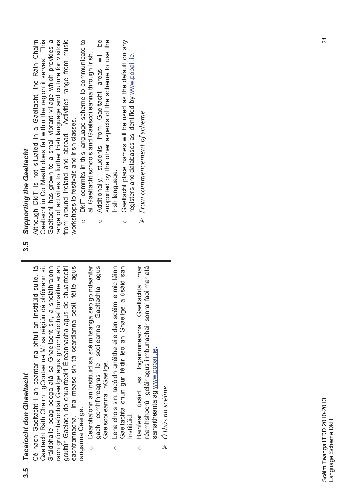### **Tacaíocht don Ghaeltacht 3.5** *Tacaíocht don Ghaeltacht* <u>ვ.</u><br>თ

Gaeltacht Ráth Chairn i gContae na Mí sa réigiún dá bhfónann sí. raon gníomhaíochtaí Gaeilge agus gníomhaíochtaí bunaithe ar an<br>gcultúr Gaelach do chuairteoirí Éireannacha agus do chuairteoirí Cé nach Gaeltacht í an ceantar ina bhfuil an Institiúid suite, tá Sráidbhaile beag beoga atá sa Ghaeltacht sin, a sholáthraíonn eachtrannacha. Ina measc sin tá ceardlanna ceoil, féilte agus Cé nach Gaeltacht í an ceantar ina bhfuil an Institiúid suite, tá gcultúr Gaelach do chuairteoirí Éireannacha agus do chuairteoirí eachtrannacha. Ina measc sin tá ceardlanna ceoil, féilte agus Gaeltacht Ráth Chairn i gContae na Mí sa réigiún dá bhfónann sí. Sráidbhaile beag beoga atá sa Ghaeltacht sin, a sholáthraíonn raon gníomhaíochtaí Gaeilge agus gníomhaíochtaí bunaithe ar an ranganna Gaeilge. ranganna Gaeilge.

- agus Dearbhaíonn an Institiúid sa scéim teanga seo go ndéanfar Dearbhaíonn an Institiúid sa scéim teanga seo go ndéanfar gach comhfhreagras le scoileanna Gaeltachta agus gach comhfhreagras le scoileanna Gaeltachta Gaelscoileanna i nGaeilge. Gaelscoileanna i nGaeilge. o
	- Lena chois sin, tacóidh gnéithe eile den scéim le mic léinn Lena chois sin, tacóidh gnéithe eile den scéim le mic léinn Gaeltachta chun gur féidir leo an Ghaeilge a úsáid san Gaeltachta chun gur féidir leo an Ghaeilge a úsáid san Institiúid. o
- mar réamhshocrú i gcláir agus i mbunachair sonraí faoi mar atá Bainfear úsáid as logainmneacha Gaeltachta mar réamhshocrú i gcláir agus i mbunachair sonraí faoi mar atá Bainfear úsáid as logainmneacha Gaeltachta sainaitheanta ag www.pobail.ie.sainaitheanta ag www.pobail.ie o
	- Ó thús na scéime *Ó thús na scéime*  $\overline{\mathbf{A}}$

### **3.5** *Supporting the Gaeltacht* **Supporting the Gaeltacht** 3.5

Gaeltacht has grown to a small vibrant village which provides a Gaeltacht in Co Meath does fall within the region it serves. This Gaeltacht has grown to a small vibrant village which provides a range of activities to further Irish language and culture for visitors Activities range from music Although DkIT is not situated in a Gaeltacht, the Ráth Chairn from around Ireland and abroad. Activities range from music Although DkIT is not situated in a Gaeltacht, the Ráth Chairn Gaeltacht in Co Meath does fall within the region it serves. This range of activities to further Irish language and culture for visitors workshops to festivals and Irish classes. workshops to festivals and Irish classes. from around Ireland and abroad.

- DkIT commits in this language scheme to communicate to DkIT commits in this language scheme to communicate to all Gaeltacht schools and Gaelscoileanna through Irish. all Gaeltacht schools and Gaelscoileanna through Irish.
- ഉ supported by the other aspects of the scheme to use the Additionally, students from Gaeltacht areas will be supported by the other aspects of the scheme to use the areas will from Gaeltacht Additionally, students o
	- irish language.<br>Gaeltacht place names will be used as the default on any Gaeltacht place names will be used as the default on any registers and databases as identified by www.poball.ie. registers and databases as identified by www.pobail.ie.o
		- *From commencement of scheme.*From commencement of scheme.  $\Delta$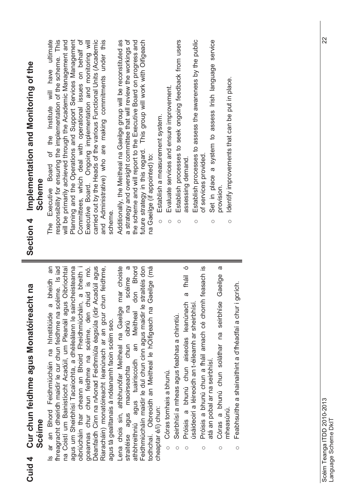| Section 4 Implementation and Monitoring of the<br>Scheme<br>tht na | Committees, which deal with operational issues on behalf of<br>Executive Board. Ongoing implementation and monitoring will<br>carried out by the Heads of the various Functional Units (Academic<br>and Administrative) who are making commitments under this<br>have ultimate<br>responsibility for ensuring the implementation of the scheme. This<br>will be primarily achieved through the Academic Management and<br>Planning and the Operations and Support Services Management<br>Board of the Institute will<br>Executive<br>scheme<br>The<br>an<br>bheidh<br>$\omega$             | Establish processes to seek ongoing feedback from users<br>a strategy and oversight committee that will review the workings of<br>future strategy in this regard. This group will work with Oifigeach<br>Establish processes to assess the awareness by the public<br>a system to assess Irish language service<br>Additionally, the Meitheal na Gaeilge group will be reconstituted as<br>the scheme and will report to the Executive Board on progress and<br>Identify improvements that can be put in place.<br>Evaluate services and ensure improvement.<br>Establish a measurement system.<br>na Gaeilge (if appointed) to:<br>of services provided<br>assessing demand<br>Set in place<br>provision.<br>$\circ$<br>$\circ$<br>O<br>$\circ$<br>$\circ$<br>Ο<br>straitéis don<br>Ó<br><u>ო</u><br>mar choiste<br>$\sigma$<br>Gaeilge (má<br>ø<br>don Bhord<br>a fháil<br>Gaeilge<br>sceime<br>oibriú na |
|--------------------------------------------------------------------|--------------------------------------------------------------------------------------------------------------------------------------------------------------------------------------------------------------------------------------------------------------------------------------------------------------------------------------------------------------------------------------------------------------------------------------------------------------------------------------------------------------------------------------------------------------------------------------------|-------------------------------------------------------------------------------------------------------------------------------------------------------------------------------------------------------------------------------------------------------------------------------------------------------------------------------------------------------------------------------------------------------------------------------------------------------------------------------------------------------------------------------------------------------------------------------------------------------------------------------------------------------------------------------------------------------------------------------------------------------------------------------------------------------------------------------------------------------------------------------------------------------------|
| Cuid 4 Cur chun feidhme agus Monatóireac<br>Scéime                 | Déanfaidh Cinn na nAonad Feidhmiúla éagsúla (idir Acadúil agus<br>fhreagracht dheiridh maidir le cur chun feidhme na scéime. Is iad<br>agus um Sheirbhísí Tacaíochta, a dhéileálann le saincheisteanna<br>Riaracháin) monatóireacht leanúnach ar an gcur chun feidhme,<br>na Coistí um Bainistíocht Acadúil, um Pleanáil agus Oibríochtaí<br>oibriúcháin thar cheann an Bhoird Fheidhmiúcháin, a bheith i<br>gceannas chur chun feidhme na scéime, den chuid is mó.<br>ar an Bhord Feidhmiúcháin na hInstitiúide<br>agus tá gealltanais á ndéanamh faoin scéim seo.<br>$\overline{\omega}$ | Próisis a bhunú chun a fháil amach cé chomh feasach<br>Feabhsuithe a shainaithint a d'fhéadfaí a chur i gcrích.<br>Córas a bhunú chun soláthar na seirbhíse<br>Próisis a bhunú chun aiseolas leanúnach<br>Lena chois sin, athbhunófar Meitheal na Gaeilge<br>Feidhmiúcháín maidir le dul chun cinn agus maidir le<br>úsáideoirí a léireoidh an t-éileamh ar sheirbhís<br>todhchaí. Oibreoidh an Meitheal le hOifigeach na<br>athbhreithniú agus tuairiscoidh an Meitheal<br>Seirbhísí a mheas agus feabhas a chinntiú.<br>straitéise agus maoirseachta chun<br>atá an pobal ar na seirbhísí.<br>Córas tomhais a bhunú.<br>cheaptar é/i) chun:<br>mheasúnú.<br>$\circ$<br>$\circ$<br>O<br>$\circ$<br>$\circ$<br>О                                                                                                                                                                                            |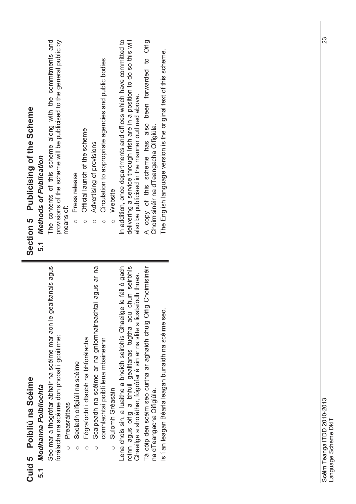| <b>Celh</b><br>ي<br>ټ<br>ò |                       |
|----------------------------|-----------------------|
| na<br>C<br>ibliú           | in an<br>$\mathbf{r}$ |
| Ó<br>Ó<br>5                | ă<br>í                |
| Cuid                       | ٠                     |

### Modhanna Poiblíochta **5.1** *Modhanna Poiblíochta* 5.1

Seo mar a fhógrófar ábhair na scéime mar aon le gealltanais agus Seo mar a fhógrófar ábhair na scéime mar aon le gealltanais agus forálacha na scéime don phobal i gcoitinne: forálacha na scéime don phobal i gcoitinne:

- Preasráiteas Preasráiteas o
- Seoladh oifigiúil na scéime o Seoladh oifigiúil na scéime o
- Fógraíocht i dtaobh na bhforálacha Fógraíocht i dtaobh na bhforálacha o
- Scaipeadh na scéime ar na gníomhaireachtaí agus ar na Scaipeadh na scéime ar na gníomhaireachtaí agus ar na comhlachtaí poiblí lena mbaineann comhlachtaí poiblí lena mbaineann o
	- Suíomh Gréasáin Suíomh Gréasáin o

roinn agus oifig a bhfuil gealltanas tugtha acu chun seirbhís Lena chois sin, a luaithe a bheidh seirbhís Ghaeilge le fáil ó gach Lena chois sin, a luaithe a bheidh seirbhís Ghaeilge le fáil ó gach roinn agus oifig a bhfuil gealltanas tugtha acu chun seirbhís Ghaeilge a sholáthar, fógrófar é sin ar na slite a liostaíodh thuas. Ghaeilge a sholáthar, fógrófar é sin ar na slite a liostaíodh thuas.

Tá cóip den scéim seo curtha ar aghaidh chuig Oifig Choimisinéir Tá cóip den scéim seo curtha ar aghaidh chuig Oifig Choimisinéir na dTeangacha Oifigiúla. na dTeangacha Oifigiúla.

Is í an leagan Béarla leagan bunaidh na scéime seo. Is í an leagan Béarla leagan bunaidh na scéime seo.

# Section 5 Publicising of the Scheme **Section 5 Publicising of the Scheme**

### **Methods of Publication 5.1** *Methods of Publication*  $5.1$

The contents of this scheme along with the commitments and provisions of the scheme will be publicised to the general public by provisions of the scheme will be publicised to the general public by The contents of this scheme along with the commitments and means of:

- **Press release** Press release
- Official launch of the scheme  $\circ$  Official launch of the scheme Advertising of provisions o
- oAdvertising of provisions
- Circulation to appropriate agencies and public bodies  $\circ$  Circulation to appropriate agencies and public bodies o
	- o

○ Website<br>In addition, once departments and offices which have committed to In addition, once departments and offices which have committed to delivering a service through Irish are in a position to do so this will delivering a service through Irish are in a position to do so this will also be publicised in the manner outlined above. also be publicised in the manner outlined above.

A copy of this scheme has also been forwarded to Olfig A copy of this scheme has also been forwarded to Oifig Choimisinéir na dTeangacha Oifigiúla. Choimisinéir na dTeangacha Oifigiúla.

The English language version is the original text of this scheme. The English language version is the original text of this scheme.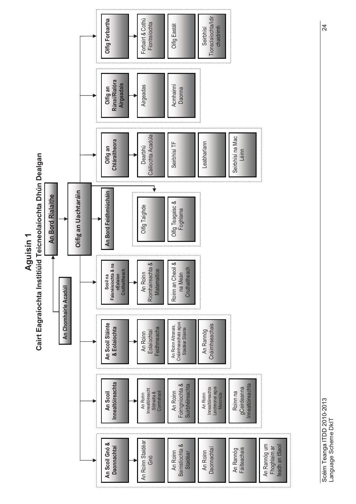

Scéim Teanga ITDD 2010-2013<br>Leonardo Colombus 24 Scéim Teanga ITDD 2010-2013 Language Scheme DkIT Language Scheme DkIT

24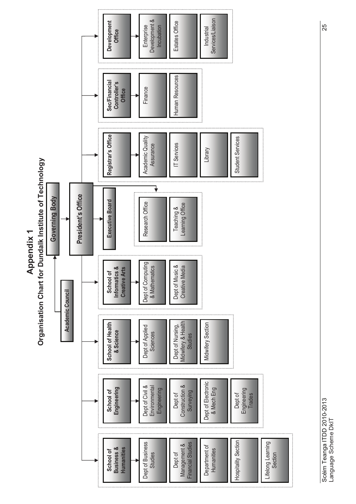

Scéim Teanga ITDD 2010-2013<br>Leonard Christian Christian Christian Christian Christian Christian Christian Christian Christian Christian Ch Scéim Teanga ITDD 2010-2013<br>Language Scheme DkIT Language Scheme DkIT

25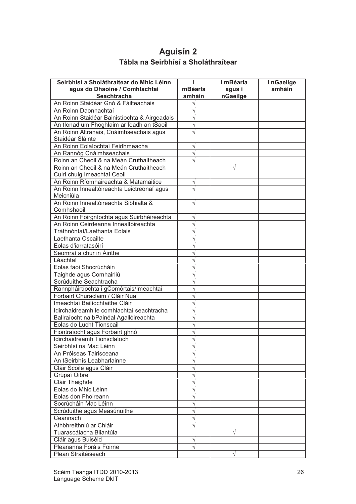### **Aguisín 2 Tábla na Seirbhísí a Sholáthraítear**

| Seirbhísí a Sholáthraítear do Mhic Léinn     |           | I mBéarla | InGaeilge |
|----------------------------------------------|-----------|-----------|-----------|
| agus do Dhaoine / Comhlachtaí                | mBéarla   | agus i    | amháin    |
| <b>Seachtracha</b>                           | amháin    | nGaeilge  |           |
| An Roinn Staidéar Gnó & Fáilteachais         |           |           |           |
| An Roinn Daonnachtaí                         | V         |           |           |
| An Roinn Staidéar Bainistíochta & Airgeadais | $\sqrt{}$ |           |           |
| An tIonad um Fhoghlaim ar feadh an tSaoil    | V         |           |           |
| An Roinn Altranais, Cnáimhseachais agus      | $\sqrt{}$ |           |           |
| Staidéar Sláinte                             |           |           |           |
| An Roinn Eolaíochtaí Feidhmeacha             | $\sqrt{}$ |           |           |
| An Rannóg Cnáimhseachais                     | $\sqrt{}$ |           |           |
| Roinn an Cheoil & na Meán Cruthaitheach      |           |           |           |
| Roinn an Cheoil & na Meán Cruthaitheach      |           | V         |           |
| Cuirí chuig Imeachtaí Ceoil                  |           |           |           |
| An Roinn Ríomhaireachta & Matamaitice        | $\sqrt{}$ |           |           |
| An Roinn Innealtóireachta Leictreonaí agus   | $\sqrt{}$ |           |           |
| Meicniúla                                    |           |           |           |
| An Roinn Innealtóireachta Sibhialta &        | $\sqrt{}$ |           |           |
| Comhshaoil                                   |           |           |           |
| An Roinn Foirgníochta agus Suirbhéireachta   | V         |           |           |
| An Roinn Ceirdeanna Innealtóireachta         | V         |           |           |
| Tráthnóntaí/Laethanta Eolais                 |           |           |           |
| Laethanta Oscailte                           |           |           |           |
| Eolas d'iarratasóirí                         |           |           |           |
| Seomraí a chur in Áirithe                    |           |           |           |
| Léachtaí                                     |           |           |           |
| Eolas faoi Shocrúcháin                       |           |           |           |
| Taighde agus Comhairliú                      |           |           |           |
| Scrúduithe Seachtracha                       |           |           |           |
| Rannpháirtíochta i gComórtais/Imeachtaí      |           |           |           |
| Forbairt Churaclaim / Cláir Nua              |           |           |           |
| Imeachtaí Bailíochtaithe Cláir               |           |           |           |
| Idirchaidreamh le comhlachtaí seachtracha    |           |           |           |
| Ballraíocht na bPainéal Agallóireachta       |           |           |           |
| Eolas do Lucht Tionscail                     |           |           |           |
| Fiontraíocht agus Forbairt ghnó              |           |           |           |
| Idirchaidreamh Tionsclaíoch                  |           |           |           |
| Seirbhísí na Mac Léinn                       |           |           |           |
| An Próiseas Tairisceana                      |           |           |           |
| An tSeirbhís Leabharlainne                   |           |           |           |
| Cláir Scoile agus Cláir                      |           |           |           |
| Grúpaí Oibre                                 |           |           |           |
| Cláir Thaighde                               |           |           |           |
| Eolas do Mhic Léinn                          |           |           |           |
| Eolas don Fhoireann                          |           |           |           |
| Socrúcháin Mac Léinn                         |           |           |           |
| Scrúduithe agus Measúnuithe                  |           |           |           |
| Ceannach                                     |           |           |           |
| Athbhreithniú ar Chláir                      |           |           |           |
| Tuarascálacha Bliantúla                      |           |           |           |
| Cláir agus Buiséid                           |           |           |           |
| Pleananna Foráis Foirne                      | V         |           |           |
| Plean Straitéiseach                          |           |           |           |
|                                              |           |           |           |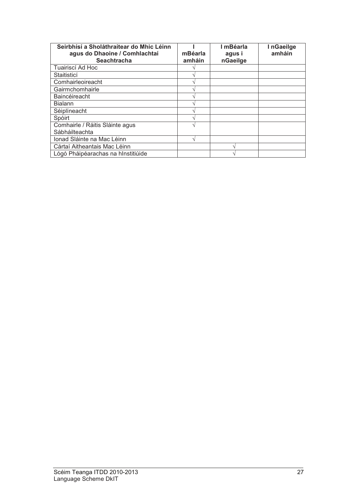| Seirbhísí a Sholáthraítear do Mhic Léinn<br>agus do Dhaoine / Comhlachtaí | mBéarla | I mBéarla<br>agus i | InGaeilge<br>amháin |
|---------------------------------------------------------------------------|---------|---------------------|---------------------|
| <b>Seachtracha</b>                                                        | amháin  | nGaeilge            |                     |
| Tuairiscí Ad Hoc                                                          |         |                     |                     |
| Staitisticí                                                               |         |                     |                     |
| Comhairleoireacht                                                         |         |                     |                     |
| Gairmchomhairle                                                           |         |                     |                     |
| <b>Baincéireacht</b>                                                      |         |                     |                     |
| <b>Bialann</b>                                                            |         |                     |                     |
| Séiplíneacht                                                              |         |                     |                     |
| Spóirt                                                                    |         |                     |                     |
| Comhairle / Ráitis Sláinte agus                                           |         |                     |                     |
| Sábháilteachta                                                            |         |                     |                     |
| Ionad Sláinte na Mac Léinn                                                |         |                     |                     |
| Cártaí Aitheantais Mac Léinn                                              |         |                     |                     |
| Lógó Pháipéarachas na hInstitiúide                                        |         |                     |                     |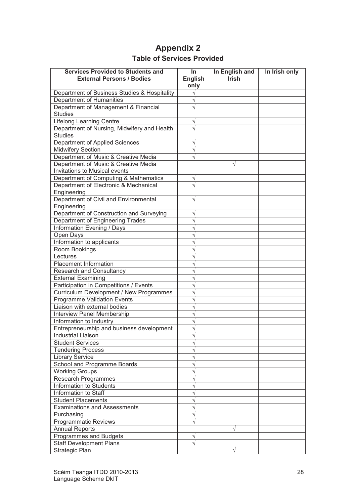### **Appendix 2 Table of Services Provided**

| <b>Services Provided to Students and</b>                      | In.                    | In English and | In Irish only |
|---------------------------------------------------------------|------------------------|----------------|---------------|
| <b>External Persons / Bodies</b>                              | <b>English</b><br>only | <b>Irish</b>   |               |
| Department of Business Studies & Hospitality                  |                        |                |               |
| Department of Humanities                                      |                        |                |               |
| Department of Management & Financial                          |                        |                |               |
| <b>Studies</b>                                                |                        |                |               |
| <b>Lifelong Learning Centre</b>                               | $\sqrt{}$              |                |               |
| Department of Nursing, Midwifery and Health<br><b>Studies</b> |                        |                |               |
| Department of Applied Sciences                                | V                      |                |               |
| <b>Midwifery Section</b>                                      |                        |                |               |
| Department of Music & Creative Media                          |                        |                |               |
| Department of Music & Creative Media                          |                        | V              |               |
| Invitations to Musical events                                 |                        |                |               |
| Department of Computing & Mathematics                         | V                      |                |               |
| Department of Electronic & Mechanical                         |                        |                |               |
| Engineering                                                   |                        |                |               |
| Department of Civil and Environmental                         | V                      |                |               |
| Engineering                                                   |                        |                |               |
| Department of Construction and Surveying                      |                        |                |               |
| Department of Engineering Trades                              |                        |                |               |
| Information Evening / Days                                    |                        |                |               |
| Open Days                                                     |                        |                |               |
| Information to applicants                                     |                        |                |               |
| Room Bookings                                                 |                        |                |               |
| Lectures                                                      |                        |                |               |
| Placement Information                                         |                        |                |               |
| <b>Research and Consultancy</b>                               |                        |                |               |
| <b>External Examining</b>                                     |                        |                |               |
| Participation in Competitions / Events                        |                        |                |               |
| Curriculum Development / New Programmes                       |                        |                |               |
| Programme Validation Events                                   |                        |                |               |
| Liaison with external bodies                                  |                        |                |               |
| <b>Interview Panel Membership</b>                             |                        |                |               |
| Information to Industry                                       |                        |                |               |
| Entrepreneurship and business development                     |                        |                |               |
| Industrial Liaison                                            |                        |                |               |
| <b>Student Services</b>                                       |                        |                |               |
| <b>Tendering Process</b>                                      |                        |                |               |
| <b>Library Service</b>                                        |                        |                |               |
| School and Programme Boards                                   |                        |                |               |
| <b>Working Groups</b>                                         |                        |                |               |
| Research Programmes                                           |                        |                |               |
| Information to Students                                       |                        |                |               |
| Information to Staff                                          |                        |                |               |
| <b>Student Placements</b>                                     |                        |                |               |
| <b>Examinations and Assessments</b>                           |                        |                |               |
| Purchasing                                                    |                        |                |               |
| <b>Programmatic Reviews</b>                                   |                        |                |               |
| Annual Reports                                                |                        |                |               |
| Programmes and Budgets                                        |                        |                |               |
| <b>Staff Development Plans</b>                                |                        |                |               |
| Strategic Plan                                                |                        | V              |               |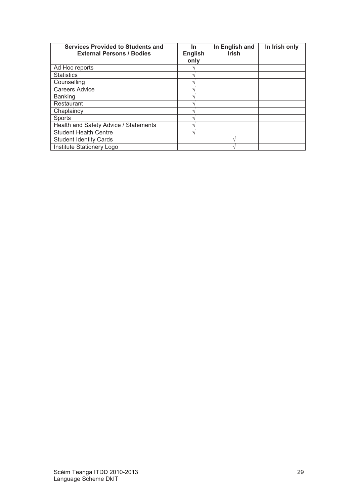| <b>Services Provided to Students and</b><br><b>External Persons / Bodies</b> | In.<br><b>English</b><br>only | In English and<br><b>Irish</b> | In Irish only |
|------------------------------------------------------------------------------|-------------------------------|--------------------------------|---------------|
| Ad Hoc reports                                                               |                               |                                |               |
| <b>Statistics</b>                                                            |                               |                                |               |
| Counselling                                                                  |                               |                                |               |
| <b>Careers Advice</b>                                                        |                               |                                |               |
| <b>Banking</b>                                                               |                               |                                |               |
| Restaurant                                                                   |                               |                                |               |
| Chaplaincy                                                                   |                               |                                |               |
| Sports                                                                       |                               |                                |               |
| Health and Safety Advice / Statements                                        |                               |                                |               |
| <b>Student Health Centre</b>                                                 |                               |                                |               |
| <b>Student Identity Cards</b>                                                |                               |                                |               |
| Institute Stationery Logo                                                    |                               |                                |               |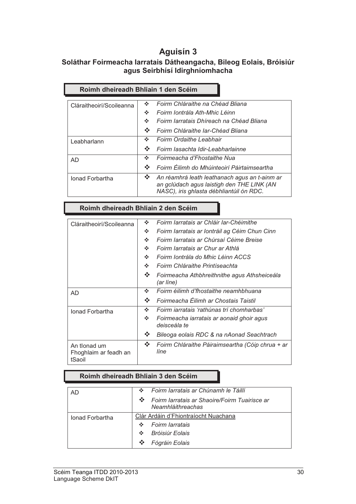### **Aguisín 3**

#### **Soláthar Foirmeacha Iarratais Dátheangacha, Bileog Eolais, Bróisiúr agus Seirbhísí Idirghníomhacha**

| Roimh dheireadh Bhliain 1 den Scéim |                                                                                                                                                                        |  |  |  |
|-------------------------------------|------------------------------------------------------------------------------------------------------------------------------------------------------------------------|--|--|--|
| Cláraitheoirí/Scoileanna            | Foirm Chláraithe na Chéad Bliana<br>÷<br>Foirm Iontrála Ath-Mhic Léinn<br>÷<br>Foirm Iarratais Dhíreach na Chéad Bliana<br>÷<br>÷<br>Foirm Chláraithe Iar-Chéad Bliana |  |  |  |
| Leabharlann                         | Foirm Ordaithe Leabhair<br>÷<br>∙∡<br>Foirm lasachta Idir-Leabharlainne                                                                                                |  |  |  |
| AD                                  | Foirmeacha d'Fhostaithe Nua<br>÷<br>Foirm Éilimh do Mhúinteoirí Páirtaimseartha<br>∙⊱                                                                                  |  |  |  |
| <b>Ionad Forbartha</b>              | <b>SALE</b><br>An réamhrá leath leathanach agus an t-ainm ar<br>an gclúdach agus laistigh den THE LINK (AN<br>NASC), iris ghlasta débhliantúil ón RDC.                 |  |  |  |

#### **Roimh dheireadh Bhliain 2 den Scéim**

| Cláraitheoirí/Scoileanna                        | ❖ | Foirm Iarratais ar Chláir Iar-Chéimithe                   |
|-------------------------------------------------|---|-----------------------------------------------------------|
|                                                 | ❖ | Foirm Iarratais ar Iontráil ag Céim Chun Cinn             |
|                                                 | ❖ | Foirm Iarratais ar Chúrsaí Céime Breise                   |
|                                                 | ❖ | Foirm Iarratais ar Chur ar Athlá                          |
|                                                 | ÷ | Foirm Iontrála do Mhic Léinn ACCS                         |
|                                                 | ÷ | Foirm Chláraithe Printíseachta                            |
|                                                 | ❖ | Foirmeacha Athbhreithnithe agus Athsheiceála<br>(ar líne) |
| AD                                              | ÷ | Foirm éilimh d'fhostaithe neamhbhuana                     |
|                                                 | ❖ | Foirmeacha Éilimh ar Chostais Taistil                     |
| Ionad Forbartha                                 | ÷ | Foirm iarratais 'rathúnas trí chomharbas'                 |
|                                                 | ❖ | Foirmeacha iarratais ar aonaid ghoir agus<br>deisceála te |
|                                                 | ❖ | Bileoga eolais RDC & na nAonad Seachtrach                 |
| An tionad um<br>Fhoghlaim ar feadh an<br>tSaoil | ❖ | Foirm Chláraithe Páiraimseartha (Cóip chrua + ar<br>líne  |

#### **Roimh dheireadh Bhliain 3 den Scéim**

| AD              | ∙⊱  | Foirm Iarratais ar Chúnamh le Táillí                               |
|-----------------|-----|--------------------------------------------------------------------|
|                 | • € | Foirm Iarratais ar Shaoire/Foirm Tuairisce ar<br>Neamhláithreachas |
| Jonad Forbartha |     | Clár Ardáin d'Fhiontraíocht Nuachana                               |
|                 | ∙⊱  | <b>Foirm Iarratais</b>                                             |
|                 | ❖   | <b>Bróisiúr Eolais</b>                                             |
|                 |     | Fógráin Eolais                                                     |